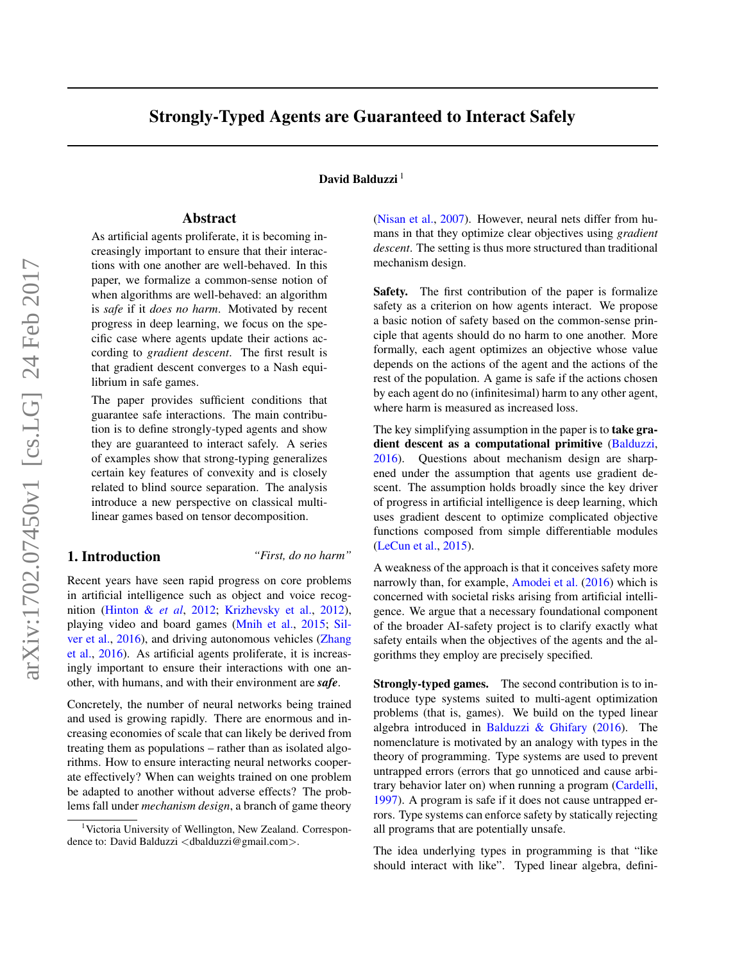# Strongly-Typed Agents are Guaranteed to Interact Safely

## David Balduzzi<sup>1</sup>

## Abstract

As artificial agents proliferate, it is becoming increasingly important to ensure that their interactions with one another are well-behaved. In this paper, we formalize a common-sense notion of when algorithms are well-behaved: an algorithm is *safe* if it *does no harm*. Motivated by recent progress in deep learning, we focus on the specific case where agents update their actions according to *gradient descent*. The first result is that gradient descent converges to a Nash equilibrium in safe games.

The paper provides sufficient conditions that guarantee safe interactions. The main contribution is to define strongly-typed agents and show they are guaranteed to interact safely. A series of examples show that strong-typing generalizes certain key features of convexity and is closely related to blind source separation. The analysis introduce a new perspective on classical multilinear games based on tensor decomposition.

## 1. Introduction *"First, do no harm"*

Recent years have seen rapid progress on core problems in artificial intelligence such as object and voice recognition (Hinton & *et al*, 2012; Krizhevsky et al., 2012), playing video and board games (Mnih et al., 2015; Silver et al., 2016), and driving autonomous vehicles (Zhang et al., 2016). As artificial agents proliferate, it is increasingly important to ensure their interactions with one another, with humans, and with their environment are *safe*.

Concretely, the number of neural networks being trained and used is growing rapidly. There are enormous and increasing economies of scale that can likely be derived from treating them as populations – rather than as isolated algorithms. How to ensure interacting neural networks cooperate effectively? When can weights trained on one problem be adapted to another without adverse effects? The problems fall under *mechanism design*, a branch of game theory (Nisan et al., 2007). However, neural nets differ from humans in that they optimize clear objectives using *gradient descent*. The setting is thus more structured than traditional mechanism design.

Safety. The first contribution of the paper is formalize safety as a criterion on how agents interact. We propose a basic notion of safety based on the common-sense principle that agents should do no harm to one another. More formally, each agent optimizes an objective whose value depends on the actions of the agent and the actions of the rest of the population. A game is safe if the actions chosen by each agent do no (infinitesimal) harm to any other agent, where harm is measured as increased loss.

The key simplifying assumption in the paper is to **take gra**dient descent as a computational primitive (Balduzzi, 2016). Questions about mechanism design are sharpened under the assumption that agents use gradient descent. The assumption holds broadly since the key driver of progress in artificial intelligence is deep learning, which uses gradient descent to optimize complicated objective functions composed from simple differentiable modules (LeCun et al., 2015).

A weakness of the approach is that it conceives safety more narrowly than, for example, Amodei et al. (2016) which is concerned with societal risks arising from artificial intelligence. We argue that a necessary foundational component of the broader AI-safety project is to clarify exactly what safety entails when the objectives of the agents and the algorithms they employ are precisely specified.

Strongly-typed games. The second contribution is to introduce type systems suited to multi-agent optimization problems (that is, games). We build on the typed linear algebra introduced in Balduzzi & Ghifary (2016). The nomenclature is motivated by an analogy with types in the theory of programming. Type systems are used to prevent untrapped errors (errors that go unnoticed and cause arbitrary behavior later on) when running a program (Cardelli, 1997). A program is safe if it does not cause untrapped errors. Type systems can enforce safety by statically rejecting all programs that are potentially unsafe.

The idea underlying types in programming is that "like should interact with like". Typed linear algebra, defini-

<sup>&</sup>lt;sup>1</sup>Victoria University of Wellington, New Zealand. Correspondence to: David Balduzzi <dbalduzzi@gmail.com>.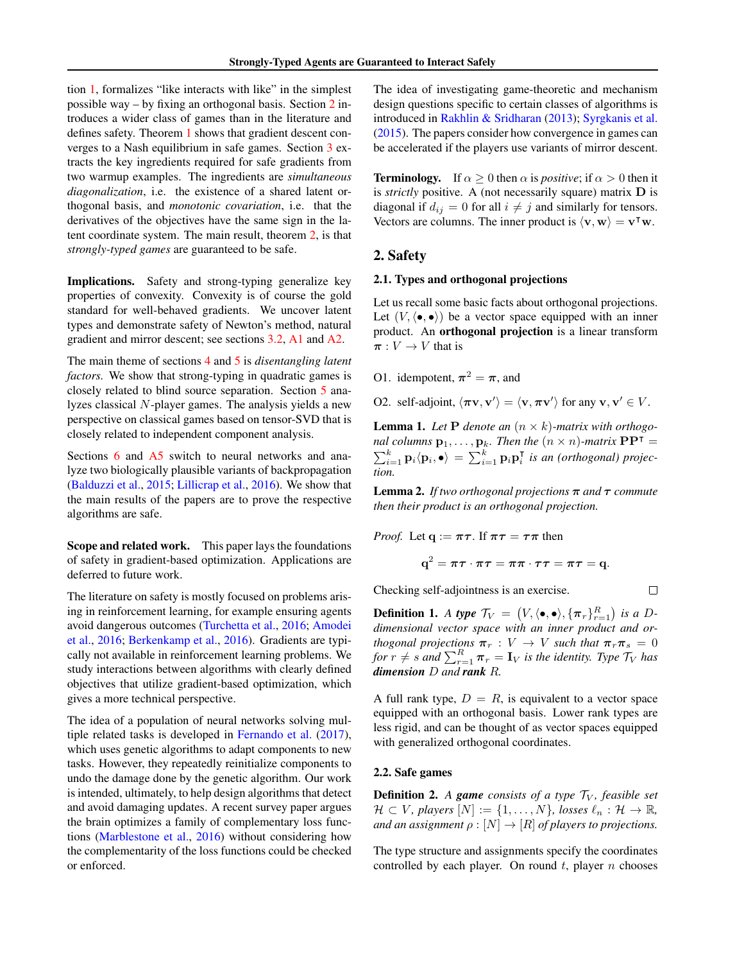tion 1, formalizes "like interacts with like" in the simplest possible way – by fixing an orthogonal basis. Section 2 introduces a wider class of games than in the literature and defines safety. Theorem 1 shows that gradient descent converges to a Nash equilibrium in safe games. Section 3 extracts the key ingredients required for safe gradients from two warmup examples. The ingredients are *simultaneous diagonalization*, i.e. the existence of a shared latent orthogonal basis, and *monotonic covariation*, i.e. that the derivatives of the objectives have the same sign in the latent coordinate system. The main result, theorem 2, is that *strongly-typed games* are guaranteed to be safe.

Implications. Safety and strong-typing generalize key properties of convexity. Convexity is of course the gold standard for well-behaved gradients. We uncover latent types and demonstrate safety of Newton's method, natural gradient and mirror descent; see sections 3.2, A1 and A2.

The main theme of sections 4 and 5 is *disentangling latent factors.* We show that strong-typing in quadratic games is closely related to blind source separation. Section 5 analyzes classical N-player games. The analysis yields a new perspective on classical games based on tensor-SVD that is closely related to independent component analysis.

Sections 6 and A5 switch to neural networks and analyze two biologically plausible variants of backpropagation (Balduzzi et al., 2015; Lillicrap et al., 2016). We show that the main results of the papers are to prove the respective algorithms are safe.

Scope and related work. This paper lays the foundations of safety in gradient-based optimization. Applications are deferred to future work.

The literature on safety is mostly focused on problems arising in reinforcement learning, for example ensuring agents avoid dangerous outcomes (Turchetta et al., 2016; Amodei et al., 2016; Berkenkamp et al., 2016). Gradients are typically not available in reinforcement learning problems. We study interactions between algorithms with clearly defined objectives that utilize gradient-based optimization, which gives a more technical perspective.

The idea of a population of neural networks solving multiple related tasks is developed in Fernando et al. (2017), which uses genetic algorithms to adapt components to new tasks. However, they repeatedly reinitialize components to undo the damage done by the genetic algorithm. Our work is intended, ultimately, to help design algorithms that detect and avoid damaging updates. A recent survey paper argues the brain optimizes a family of complementary loss functions (Marblestone et al., 2016) without considering how the complementarity of the loss functions could be checked or enforced.

The idea of investigating game-theoretic and mechanism design questions specific to certain classes of algorithms is introduced in Rakhlin & Sridharan (2013); Syrgkanis et al. (2015). The papers consider how convergence in games can be accelerated if the players use variants of mirror descent.

**Terminology.** If  $\alpha \geq 0$  then  $\alpha$  is *positive*; if  $\alpha > 0$  then it is *strictly* positive. A (not necessarily square) matrix D is diagonal if  $d_{ij} = 0$  for all  $i \neq j$  and similarly for tensors. Vectors are columns. The inner product is  $\langle v, w \rangle = v^{\mathsf{T}} w$ .

## 2. Safety

#### 2.1. Types and orthogonal projections

Let us recall some basic facts about orthogonal projections. Let  $(V, \langle \bullet, \bullet \rangle)$  be a vector space equipped with an inner product. An orthogonal projection is a linear transform  $\pi: V \to V$  that is

O1. idempotent,  $\pi^2 = \pi$ , and

O2. self-adjoint,  $\langle \pi \mathbf{v}, \mathbf{v}' \rangle = \langle \mathbf{v}, \pi \mathbf{v}' \rangle$  for any  $\mathbf{v}, \mathbf{v}' \in V$ .

**Lemma 1.** *Let* **P** *denote an*  $(n \times k)$ *-matrix with orthogonal columns*  $\mathbf{p}_1, \ldots, \mathbf{p}_k$ *. Then the*  $(n \times n)$ *-matrix*  $\mathbf{P}\mathbf{P}^T =$ *nal columns*  $\mathbf{p}_1, \ldots, \mathbf{p}_k$ . Then the  $(n \times n)$ -matrix  $\mathbf{P}\mathbf{P}^T = \sum_{i=1}^k \mathbf{p}_i \langle \mathbf{p}_i, \bullet \rangle = \sum_{i=1}^k \mathbf{p}_i \mathbf{p}_i^T$  is an (orthogonal) projec*tion.*

**Lemma 2.** *If two orthogonal projections*  $\pi$  *and*  $\tau$  *commute then their product is an orthogonal projection.*

*Proof.* Let 
$$
q := \pi \tau
$$
. If  $\pi \tau = \tau \pi$  then

$$
\mathbf{q}^2 = \boldsymbol{\pi}\boldsymbol{\tau}\cdot\boldsymbol{\pi}\boldsymbol{\tau} = \boldsymbol{\pi}\boldsymbol{\pi}\cdot\boldsymbol{\tau}\boldsymbol{\tau} = \boldsymbol{\pi}\boldsymbol{\tau} = \mathbf{q}.
$$

 $\Box$ 

Checking self-adjointness is an exercise.

**Definition 1.** *A type*  $\mathcal{T}_V = (V, \langle \bullet, \bullet \rangle, \{\pi_r\}_{r=1}^R)$  *is a Ddimensional vector space with an inner product and orthogonal projections*  $\pi_r : V \to V$  *such that*  $\pi_r \pi_s = 0$  $f \circ r \neq s$  *and*  $\sum_{r=1}^{R} \pi_r = \mathbf{I}_V$  *is the identity. Type*  $\mathcal{T}_V$  *has dimension* D *and rank* R*.*

A full rank type,  $D = R$ , is equivalent to a vector space equipped with an orthogonal basis. Lower rank types are less rigid, and can be thought of as vector spaces equipped with generalized orthogonal coordinates.

#### 2.2. Safe games

**Definition 2.** A game consists of a type  $\mathcal{T}_V$ , feasible set  $\mathcal{H} \subset V$ *, players*  $[N] := \{1, \ldots, N\}$ *, losses*  $\ell_n : \mathcal{H} \to \mathbb{R}$ *, and an assignment*  $\rho : [N] \to [R]$  *of players to projections.* 

The type structure and assignments specify the coordinates controlled by each player. On round  $t$ , player  $n$  chooses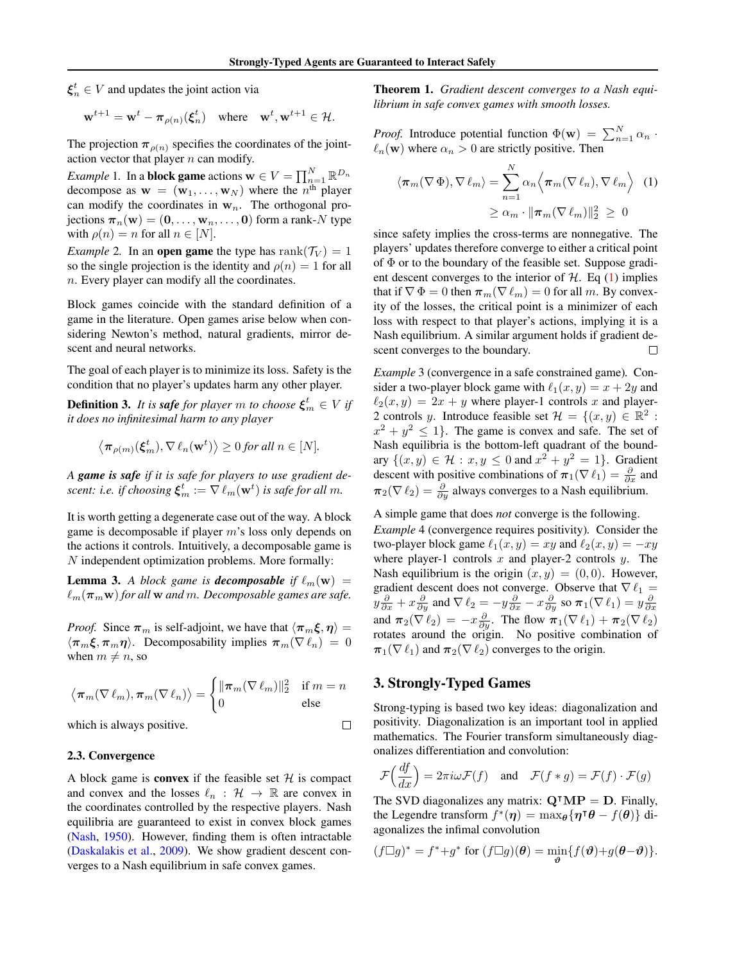$\xi_n^t \in V$  and updates the joint action via

$$
\mathbf{w}^{t+1} = \mathbf{w}^t - \boldsymbol{\pi}_{\rho(n)}(\boldsymbol{\xi}_n^t) \quad \text{where} \quad \mathbf{w}^t, \mathbf{w}^{t+1} \in \mathcal{H}.
$$

The projection  $\pi_{\rho(n)}$  specifies the coordinates of the jointaction vector that player  $n$  can modify.

*Example* 1. In a **block game** actions  $\mathbf{w} \in V = \prod_{n=1}^{N} \mathbb{R}^{D_n}$ decompose as  $\mathbf{w} = (\mathbf{w}_1, \dots, \mathbf{w}_N)$  where the  $n^{\text{th}}$  player can modify the coordinates in  $w_n$ . The orthogonal projections  $\boldsymbol{\pi}_n(\mathbf{w}) = (\mathbf{0}, \dots, \mathbf{w}_n, \dots, \mathbf{0})$  form a rank-N type with  $\rho(n) = n$  for all  $n \in [N]$ .

*Example* 2. In an **open game** the type has  $\text{rank}(\mathcal{T}_V) = 1$ so the single projection is the identity and  $\rho(n) = 1$  for all n. Every player can modify all the coordinates.

Block games coincide with the standard definition of a game in the literature. Open games arise below when considering Newton's method, natural gradients, mirror descent and neural networks.

The goal of each player is to minimize its loss. Safety is the condition that no player's updates harm any other player.

**Definition 3.** It is safe for player m to choose  $\xi_m^t \in V$  if *it does no infinitesimal harm to any player*

$$
\langle \pi_{\rho(m)}(\xi_m^t), \nabla \ell_n(\mathbf{w}^t) \rangle \geq 0
$$
 for all  $n \in [N]$ .

*A game is safe if it is safe for players to use gradient descent: i.e. if choosing*  $\xi_m^t := \nabla \ell_m(\mathbf{w}^t)$  *is safe for all m.* 

It is worth getting a degenerate case out of the way. A block game is decomposable if player m's loss only depends on the actions it controls. Intuitively, a decomposable game is N independent optimization problems. More formally:

**Lemma 3.** A block game is **decomposable** if  $\ell_m(\mathbf{w}) =$  $\ell_m(\pi_m w)$  *for all* w *and* m. Decomposable games are safe.

*Proof.* Since  $\pi_m$  is self-adjoint, we have that  $\langle \pi_m \xi, \eta \rangle =$  $\langle \pi_m \xi, \pi_m \eta \rangle$ . Decomposability implies  $\pi_m(\nabla \ell_n) = 0$ when  $m \neq n$ , so

$$
\left\langle \pi_m(\nabla \ell_m), \pi_m(\nabla \ell_n) \right\rangle = \begin{cases} \|\pi_m(\nabla \ell_m)\|_2^2 & \text{if } m = n \\ 0 & \text{else} \end{cases}
$$

which is always positive.

#### 2.3. Convergence

A block game is **convex** if the feasible set  $H$  is compact and convex and the losses  $\ell_n : \mathcal{H} \to \mathbb{R}$  are convex in the coordinates controlled by the respective players. Nash equilibria are guaranteed to exist in convex block games (Nash, 1950). However, finding them is often intractable (Daskalakis et al., 2009). We show gradient descent converges to a Nash equilibrium in safe convex games.

Theorem 1. *Gradient descent converges to a Nash equilibrium in safe convex games with smooth losses.*

*Proof.* Introduce potential function  $\Phi(\mathbf{w}) = \sum_{n=1}^{N} \alpha_n$ .  $\ell_n(\mathbf{w})$  where  $\alpha_n > 0$  are strictly positive. Then

$$
\langle \pi_m(\nabla \Phi), \nabla \ell_m \rangle = \sum_{n=1}^N \alpha_n \langle \pi_m(\nabla \ell_n), \nabla \ell_m \rangle \quad (1)
$$

$$
\geq \alpha_m \cdot \|\pi_m(\nabla \ell_m)\|_2^2 \geq 0
$$

since safety implies the cross-terms are nonnegative. The players' updates therefore converge to either a critical point of  $\Phi$  or to the boundary of the feasible set. Suppose gradient descent converges to the interior of  $H$ . Eq (1) implies that if  $\nabla \Phi = 0$  then  $\pi_m(\nabla \ell_m) = 0$  for all m. By convexity of the losses, the critical point is a minimizer of each loss with respect to that player's actions, implying it is a Nash equilibrium. A similar argument holds if gradient descent converges to the boundary.  $\Box$ 

*Example* 3 (convergence in a safe constrained game)*.* Consider a two-player block game with  $\ell_1(x, y) = x + 2y$  and  $\ell_2(x, y) = 2x + y$  where player-1 controls x and player-2 controls y. Introduce feasible set  $\mathcal{H} = \{(x, y) \in \mathbb{R}^2 :$  $x^2 + y^2 \le 1$ . The game is convex and safe. The set of Nash equilibria is the bottom-left quadrant of the boundary  $\{(x, y) \in \mathcal{H} : x, y \leq 0 \text{ and } x^2 + y^2 = 1\}.$  Gradient descent with positive combinations of  $\pi_1(\nabla \ell_1) = \frac{\partial}{\partial x}$  and  $\pi_2(\nabla \ell_2) = \frac{\partial}{\partial y}$  always converges to a Nash equilibrium.

A simple game that does *not* converge is the following.

*Example* 4 (convergence requires positivity)*.* Consider the two-player block game  $\ell_1(x, y) = xy$  and  $\ell_2(x, y) = -xy$ where player-1 controls  $x$  and player-2 controls  $y$ . The Nash equilibrium is the origin  $(x, y) = (0, 0)$ . However, gradient descent does not converge. Observe that  $\nabla \ell_1 =$  $y\frac{\partial}{\partial x}+x\frac{\partial}{\partial y}$  and  $\nabla \ell_2=-y\frac{\partial}{\partial x}-x\frac{\partial}{\partial y}$  so  $\pi_1(\nabla \ell_1)=y\frac{\partial}{\partial x}$ and  $\pi_2(\nabla \ell_2) = -x \frac{\partial}{\partial y}$ . The flow  $\pi_1(\nabla \ell_1) + \pi_2(\nabla \ell_2)$ rotates around the origin. No positive combination of  $\pi_1(\nabla \ell_1)$  and  $\pi_2(\nabla \ell_2)$  converges to the origin.

## 3. Strongly-Typed Games

 $\Box$ 

Strong-typing is based two key ideas: diagonalization and positivity. Diagonalization is an important tool in applied mathematics. The Fourier transform simultaneously diagonalizes differentiation and convolution:

$$
\mathcal{F}\Big(\frac{df}{dx}\Big) = 2\pi i \omega \mathcal{F}(f) \quad \text{and} \quad \mathcal{F}(f * g) = \mathcal{F}(f) \cdot \mathcal{F}(g)
$$

The SVD diagonalizes any matrix:  $Q^{\dagger}MP = D$ . Finally, the Legendre transform  $f^*(\eta) = \max_{\theta} {\eta \tau \theta - f(\theta)}$  diagonalizes the infimal convolution

$$
(f\Box g)^* = f^* + g^* \text{ for } (f\Box g)(\boldsymbol{\theta}) = \min_{\boldsymbol{\vartheta}} \{f(\boldsymbol{\vartheta}) + g(\boldsymbol{\theta} - \boldsymbol{\vartheta})\}.
$$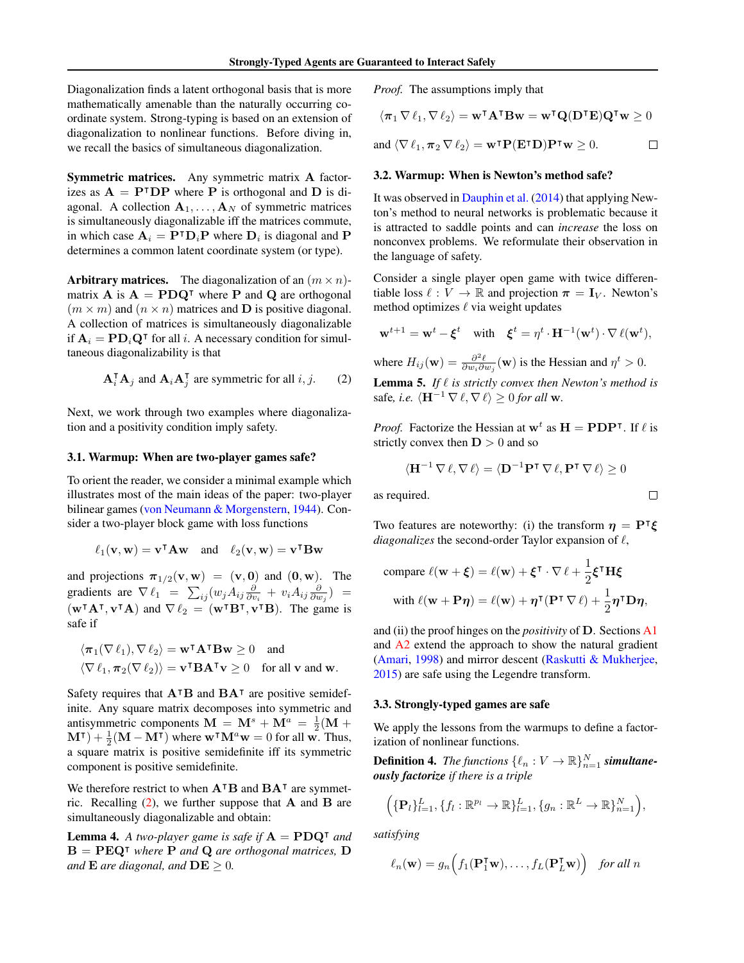Diagonalization finds a latent orthogonal basis that is more mathematically amenable than the naturally occurring coordinate system. Strong-typing is based on an extension of diagonalization to nonlinear functions. Before diving in, we recall the basics of simultaneous diagonalization.

Symmetric matrices. Any symmetric matrix A factorizes as  $A = P^{\dagger}DP$  where P is orthogonal and D is diagonal. A collection  $A_1, \ldots, A_N$  of symmetric matrices is simultaneously diagonalizable iff the matrices commute, in which case  $A_i = P^{\dagger} D_i P$  where  $D_i$  is diagonal and P determines a common latent coordinate system (or type).

Arbitrary matrices. The diagonalization of an  $(m \times n)$ matrix A is  $A = P D Q^{\dagger}$  where P and Q are orthogonal  $(m \times m)$  and  $(n \times n)$  matrices and **D** is positive diagonal. A collection of matrices is simultaneously diagonalizable if  $A_i = \text{PD}_i \text{Q}^{\intercal}$  for all i. A necessary condition for simultaneous diagonalizability is that

$$
\mathbf{A}_i^{\mathsf{T}} \mathbf{A}_j \text{ and } \mathbf{A}_i \mathbf{A}_j^{\mathsf{T}} \text{ are symmetric for all } i, j. \qquad (2)
$$

Next, we work through two examples where diagonalization and a positivity condition imply safety.

#### 3.1. Warmup: When are two-player games safe?

To orient the reader, we consider a minimal example which illustrates most of the main ideas of the paper: two-player bilinear games (von Neumann & Morgenstern, 1944). Consider a two-player block game with loss functions

$$
\ell_1(\mathbf{v}, \mathbf{w}) = \mathbf{v}^\intercal \mathbf{A} \mathbf{w} \quad \text{and} \quad \ell_2(\mathbf{v}, \mathbf{w}) = \mathbf{v}^\intercal \mathbf{B} \mathbf{w}
$$

and projections  $\pi_{1/2}(\mathbf{v}, \mathbf{w}) = (\mathbf{v}, \mathbf{0})$  and  $(\mathbf{0}, \mathbf{w})$ . The gradients are  $\nabla \ell_1 = \sum_{ij} (w_j A_{ij} \frac{\partial}{\partial v_i} + v_i A_{ij} \frac{\partial}{\partial w_j}) =$  $(\mathbf{w}^\intercal \mathbf{A}^\intercal, \mathbf{v}^\intercal \mathbf{A})$  and  $\nabla \ell_2 = (\mathbf{w}^\intercal \mathbf{B}^\intercal, \mathbf{v}^\intercal \mathbf{B})$ . The game is safe if

$$
\langle \pi_1(\nabla \ell_1), \nabla \ell_2 \rangle = \mathbf{w}^\mathsf{T} \mathbf{A}^\mathsf{T} \mathbf{B} \mathbf{w} \ge 0 \text{ and}
$$
  

$$
\langle \nabla \ell_1, \pi_2(\nabla \ell_2) \rangle = \mathbf{v}^\mathsf{T} \mathbf{B} \mathbf{A}^\mathsf{T} \mathbf{v} \ge 0 \text{ for all } \mathbf{v} \text{ and } \mathbf{w}.
$$

Safety requires that  $A^{\dagger}B$  and  $BA^{\dagger}$  are positive semidefinite. Any square matrix decomposes into symmetric and antisymmetric components  $\mathbf{M} = \mathbf{M}^s + \mathbf{M}^a = \frac{1}{2}(\mathbf{M} + \mathbf{M}^a)$  $(M^{\dagger}) + \frac{1}{2}(M - M^{\dagger})$  where  $w^{\dagger}M^a w = 0$  for all w. Thus, a square matrix is positive semidefinite iff its symmetric component is positive semidefinite.

We therefore restrict to when  $A<sup>T</sup>B$  and  $BA<sup>T</sup>$  are symmetric. Recalling  $(2)$ , we further suppose that **A** and **B** are simultaneously diagonalizable and obtain:

**Lemma 4.** A two-player game is safe if  $A = \text{PDQ}^{\dagger}$  and  $B = P E Q^{\dagger}$  *where* **P** and **Q** are orthogonal matrices, **D** *and*  $\bf{E}$  *are diagonal, and*  $\bf{DE} \geq 0$ *.* 

*Proof.* The assumptions imply that

$$
\langle \pi_1 \nabla \ell_1, \nabla \ell_2 \rangle = \mathbf{w}^\intercal \mathbf{A}^\intercal \mathbf{B} \mathbf{w} = \mathbf{w}^\intercal \mathbf{Q}(\mathbf{D}^\intercal \mathbf{E}) \mathbf{Q}^\intercal \mathbf{w} \ge 0
$$

and 
$$
\langle \nabla \ell_1, \pi_2 \nabla \ell_2 \rangle = \mathbf{w}^\intercal \mathbf{P}(\mathbf{E}^\intercal \mathbf{D}) \mathbf{P}^\intercal \mathbf{w} \geq 0.
$$

#### 3.2. Warmup: When is Newton's method safe?

It was observed in Dauphin et al. (2014) that applying Newton's method to neural networks is problematic because it is attracted to saddle points and can *increase* the loss on nonconvex problems. We reformulate their observation in the language of safety.

Consider a single player open game with twice differentiable loss  $\ell : V \to \mathbb{R}$  and projection  $\pi = I_V$ . Newton's method optimizes  $\ell$  via weight updates

$$
\mathbf{w}^{t+1} = \mathbf{w}^t - \boldsymbol{\xi}^t \quad \text{with} \quad \boldsymbol{\xi}^t = \eta^t \cdot \mathbf{H}^{-1}(\mathbf{w}^t) \cdot \nabla \,\ell(\mathbf{w}^t),
$$

where  $H_{ij}(\mathbf{w}) = \frac{\partial^2 \ell}{\partial w_i \partial w_j}(\mathbf{w})$  is the Hessian and  $\eta^t > 0$ . **Lemma 5.** If  $\ell$  is strictly convex then Newton's method is safe, *i.e.*  $\langle \mathbf{H}^{-1} \nabla \ell, \nabla \ell \rangle \geq 0$  *for all* w.

*Proof.* Factorize the Hessian at  $w^t$  as  $H = PDP^{\dagger}$ . If  $\ell$  is strictly convex then  $D > 0$  and so

$$
\langle \mathbf{H}^{-1} \, \nabla \, \ell, \nabla \, \ell \rangle = \langle \mathbf{D}^{-1} \mathbf{P}^{\intercal} \, \nabla \, \ell, \mathbf{P}^{\intercal} \, \nabla \, \ell \rangle \ge 0
$$

 $\Box$ 

as required.

Two features are noteworthy: (i) the transform  $\eta = P^{\dagger} \xi$ *diagonalizes* the second-order Taylor expansion of  $\ell$ ,

compare 
$$
\ell(\mathbf{w} + \boldsymbol{\xi}) = \ell(\mathbf{w}) + \boldsymbol{\xi}^\intercal \cdot \nabla \ell + \frac{1}{2} \boldsymbol{\xi}^\intercal \mathbf{H} \boldsymbol{\xi}
$$
  
with  $\ell(\mathbf{w} + \mathbf{P}\boldsymbol{\eta}) = \ell(\mathbf{w}) + \boldsymbol{\eta}^\intercal (\mathbf{P}^\intercal \nabla \ell) + \frac{1}{2} \boldsymbol{\eta}^\intercal \mathbf{D} \boldsymbol{\eta}$ ,

and (ii) the proof hinges on the *positivity* of D. Sections A1 and A2 extend the approach to show the natural gradient (Amari, 1998) and mirror descent (Raskutti & Mukherjee, 2015) are safe using the Legendre transform.

#### 3.3. Strongly-typed games are safe

We apply the lessons from the warmups to define a factorization of nonlinear functions.

**Definition 4.** The functions  $\{\ell_n : V \to \mathbb{R}\}_{n=1}^N$  **simultane***ously factorize if there is a triple*

$$
\left(\{\mathbf{P}_l\}_{l=1}^L, \{f_l: \mathbb{R}^{p_l} \to \mathbb{R}\}_{l=1}^L, \{g_n: \mathbb{R}^L \to \mathbb{R}\}_{n=1}^N\right),\
$$

*satisfying*

$$
\ell_n(\mathbf{w}) = g_n\Big(f_1(\mathbf{P}_1^{\mathsf{T}}\mathbf{w}),\ldots,f_L(\mathbf{P}_L^{\mathsf{T}}\mathbf{w})\Big) \quad \text{for all } n
$$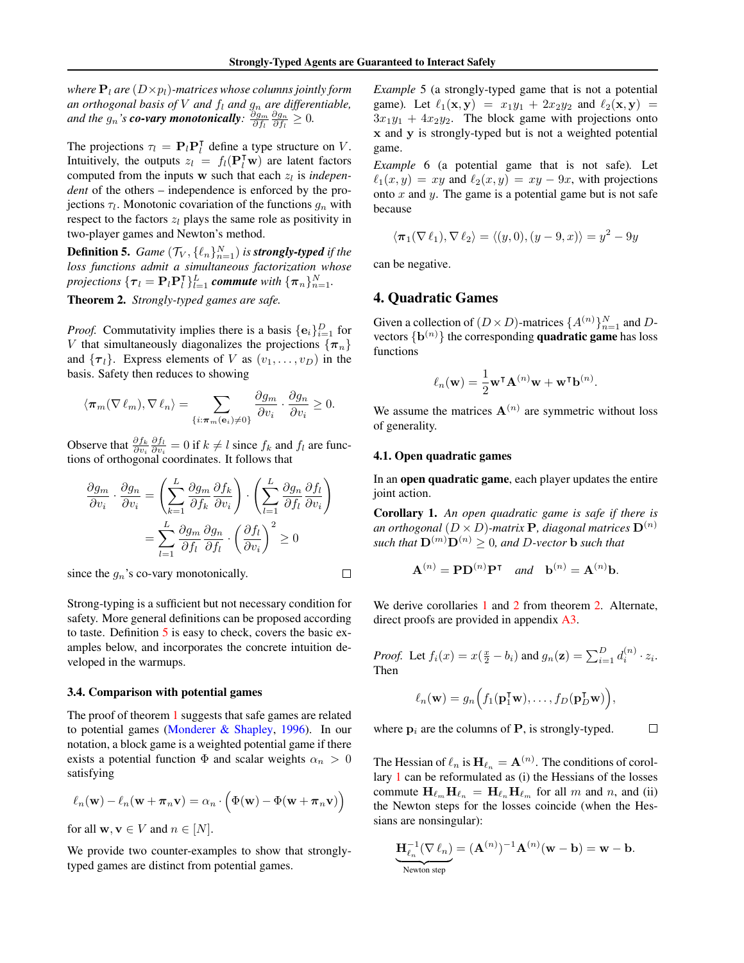*where*  $P_l$  *are*  $(D \times p_l)$ *-matrices whose columns jointly form* an orthogonal basis of V and  $f_l$  and  $g_n$  are differentiable, and the  $g_n$ 's **co-vary monotonically**:  $\frac{\partial g_m}{\partial f_l} \frac{\partial g_n}{\partial f_l} \geq 0$ .

The projections  $\tau_l = \mathbf{P}_l \mathbf{P}_l^{\mathsf{T}}$  define a type structure on V. Intuitively, the outputs  $z_l = f_l(\mathbf{P}_l^{\mathsf{T}} \mathbf{w})$  are latent factors computed from the inputs  $w$  such that each  $z_l$  is *independent* of the others – independence is enforced by the projections  $\tau_l$ . Monotonic covariation of the functions  $g_n$  with respect to the factors  $z_l$  plays the same role as positivity in two-player games and Newton's method.

**Definition 5.** Game  $(\mathcal{T}_V, \{\ell_n\}_{n=1}^N)$  is **strongly-typed** if the *loss functions admit a simultaneous factorization whose projections*  $\{\boldsymbol{\tau}_l = \mathbf{P}_l \mathbf{P}_l^{\mathsf{T}}\}_{l=1}^L$  *commute* with  $\{\boldsymbol{\pi}_n\}_{n=1}^N$ . Theorem 2. *Strongly-typed games are safe.*

*Proof.* Commutativity implies there is a basis  $\{e_i\}_{i=1}^D$  for V that simultaneously diagonalizes the projections  $\{\pi_n\}$ and  $\{\tau_l\}$ . Express elements of V as  $(v_1, \ldots, v_D)$  in the basis. Safety then reduces to showing

$$
\langle \pi_m(\nabla \ell_m), \nabla \ell_n \rangle = \sum_{\{i: \pi_m(\mathbf{e}_i) \neq 0\}} \frac{\partial g_m}{\partial v_i} \cdot \frac{\partial g_n}{\partial v_i} \ge 0.
$$

Observe that  $\frac{\partial f_k}{\partial v_i} \frac{\partial f_l}{\partial v_i} = 0$  if  $k \neq l$  since  $f_k$  and  $f_l$  are functions of orthogonal coordinates. It follows that

$$
\frac{\partial g_m}{\partial v_i} \cdot \frac{\partial g_n}{\partial v_i} = \left( \sum_{k=1}^L \frac{\partial g_m}{\partial f_k} \frac{\partial f_k}{\partial v_i} \right) \cdot \left( \sum_{l=1}^L \frac{\partial g_n}{\partial f_l} \frac{\partial f_l}{\partial v_i} \right)
$$

$$
= \sum_{l=1}^L \frac{\partial g_m}{\partial f_l} \frac{\partial g_n}{\partial f_l} \cdot \left( \frac{\partial f_l}{\partial v_i} \right)^2 \ge 0
$$

since the  $g_n$ 's co-vary monotonically.

 $\Box$ 

Strong-typing is a sufficient but not necessary condition for safety. More general definitions can be proposed according to taste. Definition 5 is easy to check, covers the basic examples below, and incorporates the concrete intuition developed in the warmups.

#### 3.4. Comparison with potential games

The proof of theorem 1 suggests that safe games are related to potential games (Monderer & Shapley, 1996). In our notation, a block game is a weighted potential game if there exists a potential function  $\Phi$  and scalar weights  $\alpha_n > 0$ satisfying

$$
\ell_n(\mathbf{w}) - \ell_n(\mathbf{w} + \boldsymbol{\pi}_n \mathbf{v}) = \alpha_n \cdot \left(\Phi(\mathbf{w}) - \Phi(\mathbf{w} + \boldsymbol{\pi}_n \mathbf{v})\right)
$$

for all  $\mathbf{w}, \mathbf{v} \in V$  and  $n \in [N]$ .

We provide two counter-examples to show that stronglytyped games are distinct from potential games.

*Example* 5 (a strongly-typed game that is not a potential game). Let  $\ell_1(x, y) = x_1y_1 + 2x_2y_2$  and  $\ell_2(x, y) =$  $3x_1y_1 + 4x_2y_2$ . The block game with projections onto x and y is strongly-typed but is not a weighted potential game.

*Example* 6 (a potential game that is not safe)*.* Let  $\ell_1(x, y) = xy$  and  $\ell_2(x, y) = xy - 9x$ , with projections onto  $x$  and  $y$ . The game is a potential game but is not safe because

$$
\langle \pi_1(\nabla \ell_1), \nabla \ell_2 \rangle = \langle (y, 0), (y - 9, x) \rangle = y^2 - 9y
$$

can be negative.

## 4. Quadratic Games

Given a collection of  $(D \times D)$ -matrices  $\{A^{(n)}\}_{n=1}^N$  and Dvectors  $\{ \mathbf{b}^{(n)} \}$  the corresponding **quadratic game** has loss functions

$$
\ell_n(\mathbf{w}) = \frac{1}{2} \mathbf{w}^\mathsf{T} \mathbf{A}^{(n)} \mathbf{w} + \mathbf{w}^\mathsf{T} \mathbf{b}^{(n)}.
$$

We assume the matrices  $A^{(n)}$  are symmetric without loss of generality.

#### 4.1. Open quadratic games

In an open quadratic game, each player updates the entire joint action.

Corollary 1. *An open quadratic game is safe if there is an orthogonal*  $(D \times D)$ *-matrix* **P***, diagonal matrices*  $D^{(n)}$ *such that*  $\mathbf{D}^{(m)}\mathbf{D}^{(n)} > 0$ *, and D-vector* **b** *such that* 

$$
\mathbf{A}^{(n)} = \mathbf{P} \mathbf{D}^{(n)} \mathbf{P}^{\mathsf{T}} \quad \text{and} \quad \mathbf{b}^{(n)} = \mathbf{A}^{(n)} \mathbf{b}.
$$

We derive corollaries 1 and 2 from theorem 2. Alternate, direct proofs are provided in appendix A3.

*Proof.* Let  $f_i(x) = x(\frac{x}{2} - b_i)$  and  $g_n(\mathbf{z}) = \sum_{i=1}^{D} d_i^{(n)} \cdot z_i$ . Then

$$
\ell_n(\mathbf{w}) = g_n\Big(f_1(\mathbf{p}_1^{\mathsf{T}}\mathbf{w}),\ldots,f_D(\mathbf{p}_D^{\mathsf{T}}\mathbf{w})\Big),\,
$$

 $\Box$ 

where  $p_i$  are the columns of  $P$ , is strongly-typed.

The Hessian of  $\ell_n$  is  $\mathbf{H}_{\ell_n} = \mathbf{A}^{(n)}$ . The conditions of corollary 1 can be reformulated as (i) the Hessians of the losses commute  $H_{\ell_m}H_{\ell_n} = H_{\ell_n}H_{\ell_m}$  for all m and n, and (ii) the Newton steps for the losses coincide (when the Hessians are nonsingular):

$$
\underbrace{\mathbf{H}_{\ell_n}^{-1}(\nabla \ell_n)}_{\text{Newton step}} = (\mathbf{A}^{(n)})^{-1} \mathbf{A}^{(n)}(\mathbf{w} - \mathbf{b}) = \mathbf{w} - \mathbf{b}.
$$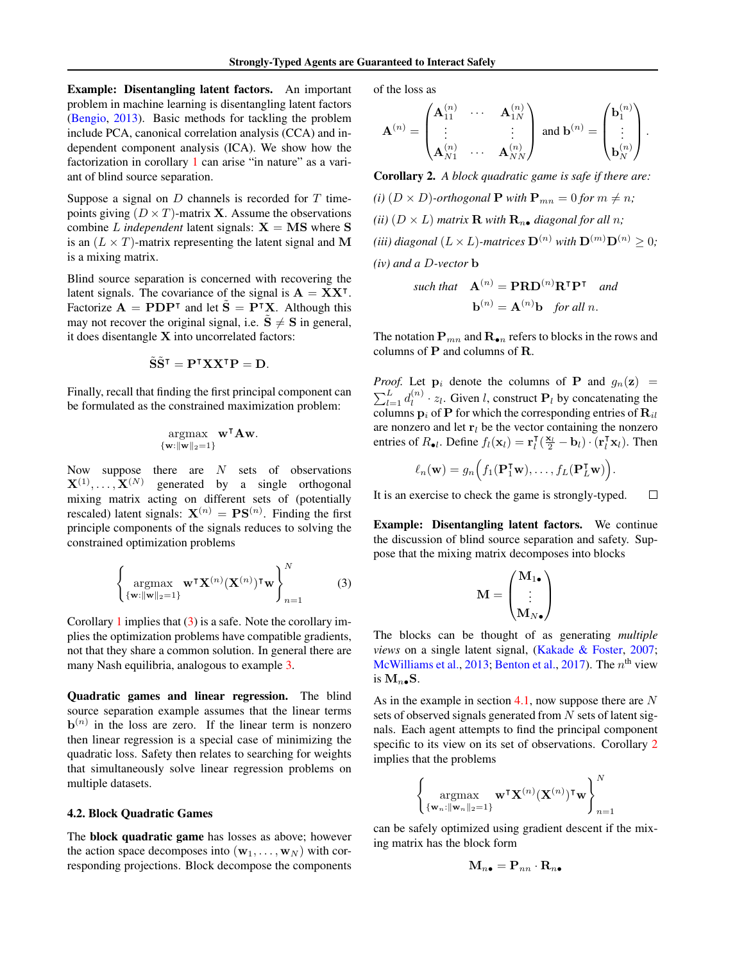Example: Disentangling latent factors. An important problem in machine learning is disentangling latent factors (Bengio, 2013). Basic methods for tackling the problem include PCA, canonical correlation analysis (CCA) and independent component analysis (ICA). We show how the factorization in corollary 1 can arise "in nature" as a variant of blind source separation.

Suppose a signal on  $D$  channels is recorded for  $T$  timepoints giving  $(D \times T)$ -matrix **X**. Assume the observations combine L *independent* latent signals:  $X = MS$  where S is an  $(L \times T)$ -matrix representing the latent signal and M is a mixing matrix.

Blind source separation is concerned with recovering the latent signals. The covariance of the signal is  $A = XX^{\dagger}$ . Factorize  $\mathbf{A} = \mathbf{P} \mathbf{D} \mathbf{P}^{\mathsf{T}}$  and let  $\tilde{\mathbf{S}} = \mathbf{P}^{\mathsf{T}} \mathbf{X}$ . Although this may not recover the original signal, i.e.  $\tilde{S} \neq S$  in general, it does disentangle  $X$  into uncorrelated factors:

$$
\tilde{\mathbf{S}}\tilde{\mathbf{S}}^{\intercal} = \mathbf{P}^{\intercal}\mathbf{X}\mathbf{X}^{\intercal}\mathbf{P} = \mathbf{D}.
$$

Finally, recall that finding the first principal component can be formulated as the constrained maximization problem:

$$
\underset{\{\mathbf{w}:\|\mathbf{w}\|_2=1\}}{\operatorname{argmax}} \ \mathbf{w}^\intercal \mathbf{A} \mathbf{w}.
$$

Now suppose there are  $N$  sets of observations  $\mathbf{X}^{(1)},\ldots,\mathbf{X}^{(N)}$ generated by a single orthogonal mixing matrix acting on different sets of (potentially rescaled) latent signals:  $\mathbf{X}^{(n)} = \mathbf{P}\mathbf{S}^{(n)}$ . Finding the first principle components of the signals reduces to solving the constrained optimization problems

$$
\left\{\underset{\{\mathbf{w}:\|\mathbf{w}\|_2=1\}}{\operatorname{argmax}} \mathbf{w}^\mathsf{T} \mathbf{X}^{(n)} (\mathbf{X}^{(n)})^\mathsf{T} \mathbf{w} \right\}_{n=1}^N \tag{3}
$$

Corollary 1 implies that  $(3)$  is a safe. Note the corollary implies the optimization problems have compatible gradients, not that they share a common solution. In general there are many Nash equilibria, analogous to example 3.

Quadratic games and linear regression. The blind source separation example assumes that the linear terms  **in the loss are zero. If the linear term is nonzero** then linear regression is a special case of minimizing the quadratic loss. Safety then relates to searching for weights that simultaneously solve linear regression problems on multiple datasets.

#### 4.2. Block Quadratic Games

The block quadratic game has losses as above; however the action space decomposes into  $(\mathbf{w}_1, \dots, \mathbf{w}_N)$  with corresponding projections. Block decompose the components

of the loss as

$$
\mathbf{A}^{(n)} = \begin{pmatrix} \mathbf{A}_{11}^{(n)} & \cdots & \mathbf{A}_{1N}^{(n)} \\ \vdots & & \vdots \\ \mathbf{A}_{N1}^{(n)} & \cdots & \mathbf{A}_{NN}^{(n)} \end{pmatrix} \text{ and } \mathbf{b}^{(n)} = \begin{pmatrix} \mathbf{b}_1^{(n)} \\ \vdots \\ \mathbf{b}_N^{(n)} \end{pmatrix}.
$$

Corollary 2. *A block quadratic game is safe if there are:*

*(i)*  $(D \times D)$ -orthogonal **P** with  $\mathbf{P}_{mn} = 0$  for  $m \neq n$ ; *(ii)*  $(D \times L)$  *matrix* **R** *with*  $\mathbf{R}_{n\bullet}$  *diagonal for all n; (iii) diagonal*  $(L \times L)$ *-matrices*  $\mathbf{D}^{(n)}$  *with*  $\mathbf{D}^{(m)}\mathbf{D}^{(n)} \geq 0$ *; (iv) and a* D*-vector* b

such that 
$$
\mathbf{A}^{(n)} = \mathbf{PRD}^{(n)}\mathbf{R}^{\mathsf{T}}\mathbf{P}^{\mathsf{T}}
$$
 and  
 $\mathbf{b}^{(n)} = \mathbf{A}^{(n)}\mathbf{b}$  for all n.

The notation  $P_{mn}$  and  $R_{\bullet n}$  refers to blocks in the rows and columns of P and columns of R.

*Proof.* Let  $\mathbf{p}_i$  denote the columns of **P** and  $g_n(\mathbf{z})$  =  $\sum_{l=1}^{L} d_l^{(n)}$  $\mathbf{E}_l^{(n)} \cdot z_l$ . Given *l*, construct  $\mathbf{P}_l$  by concatenating the columns  $p_i$  of P for which the corresponding entries of  $R_{il}$ are nonzero and let  $r_l$  be the vector containing the nonzero entries of  $R_{\bullet l}$ . Define  $f_l(\mathbf{x}_l) = \mathbf{r}_l^{\mathsf{T}}(\frac{\mathbf{x}_l}{2} - \mathbf{b}_l) \cdot (\mathbf{r}_l^{\mathsf{T}} \mathbf{x}_l)$ . Then

$$
\ell_n(\mathbf{w}) = g_n\Big(f_1(\mathbf{P}_1^{\mathsf{T}}\mathbf{w}),\ldots,f_L(\mathbf{P}_L^{\mathsf{T}}\mathbf{w})\Big).
$$

It is an exercise to check the game is strongly-typed.  $\Box$ 

Example: Disentangling latent factors. We continue the discussion of blind source separation and safety. Suppose that the mixing matrix decomposes into blocks

$$
\mathbf{M} = \begin{pmatrix} \mathbf{M}_{1\bullet} \\ \vdots \\ \mathbf{M}_{N\bullet} \end{pmatrix}
$$

The blocks can be thought of as generating *multiple views* on a single latent signal, (Kakade & Foster, 2007; McWilliams et al., 2013; Benton et al., 2017). The  $n<sup>th</sup>$  view is  $M_n$ . S.

As in the example in section  $4.1$ , now suppose there are N sets of observed signals generated from  $N$  sets of latent signals. Each agent attempts to find the principal component specific to its view on its set of observations. Corollary 2 implies that the problems

$$
\left\{\mathop{\mathrm{argmax}}_{\{\mathbf{w}_n: \|\mathbf{w}_n\|_2=1\}} \mathbf{w}^\intercal \mathbf{X}^{(n)}(\mathbf{X}^{(n)})^\intercal \mathbf{w}\right\}_{n=1}^N
$$

can be safely optimized using gradient descent if the mixing matrix has the block form

$$
\mathbf{M}_{n\bullet} = \mathbf{P}_{nn} \cdot \mathbf{R}_{n\bullet}
$$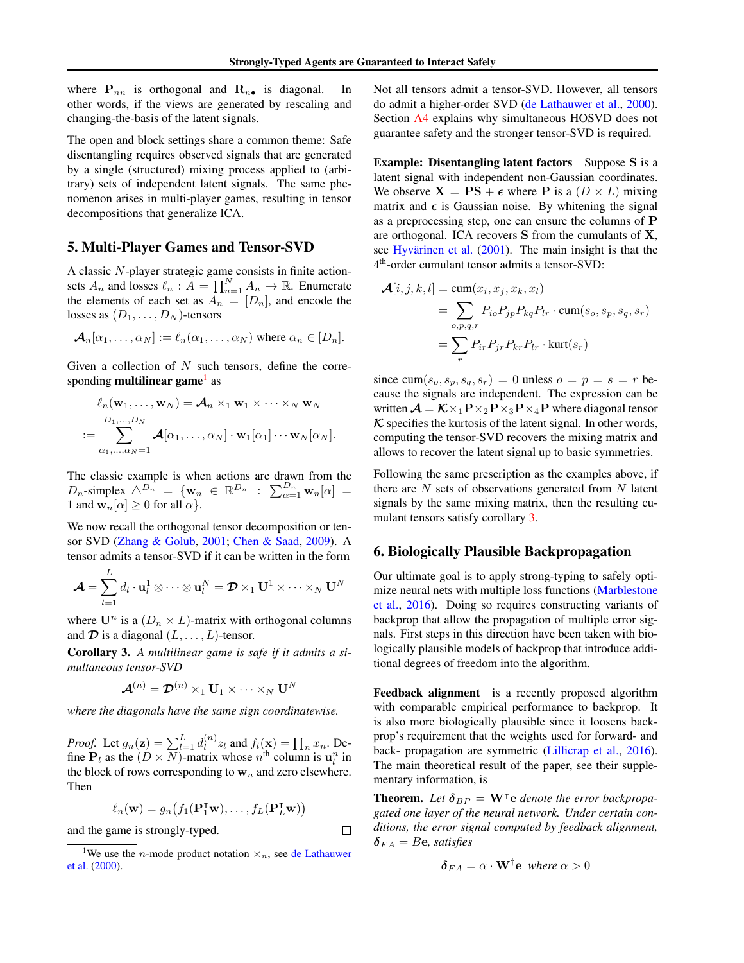where  $P_{nn}$  is orthogonal and  $R_{n\bullet}$  is diagonal. In other words, if the views are generated by rescaling and changing-the-basis of the latent signals.

The open and block settings share a common theme: Safe disentangling requires observed signals that are generated by a single (structured) mixing process applied to (arbitrary) sets of independent latent signals. The same phenomenon arises in multi-player games, resulting in tensor decompositions that generalize ICA.

## 5. Multi-Player Games and Tensor-SVD

A classic N-player strategic game consists in finite actionsets  $A_n$  and losses  $\ell_n : A = \prod_{n=1}^N A_n \to \mathbb{R}$ . Enumerate the elements of each set as  $A_n = [D_n]$ , and encode the losses as  $(D_1, \ldots, D_N)$ -tensors

$$
\mathcal{A}_n[\alpha_1,\ldots,\alpha_N]:=\ell_n(\alpha_1,\ldots,\alpha_N)
$$
 where  $\alpha_n\in[D_n].$ 

Given a collection of  $N$  such tensors, define the corresponding **multilinear game**<sup>1</sup> as

$$
\ell_n(\mathbf{w}_1,\ldots,\mathbf{w}_N) = \mathcal{A}_n \times_1 \mathbf{w}_1 \times \cdots \times_N \mathbf{w}_N
$$
  
:= 
$$
\sum_{\alpha_1,\ldots,\alpha_N=1}^{D_1,\ldots,D_N} \mathcal{A}[\alpha_1,\ldots,\alpha_N] \cdot \mathbf{w}_1[\alpha_1] \cdots \mathbf{w}_N[\alpha_N].
$$

The classic example is when actions are drawn from the  $D_n$ -simplex  $\triangle^{D_n} = {\mathbf{w}_n \in \mathbb{R}^{D_n} : \sum_{\alpha=1}^{D_n} \mathbf{w}_n[\alpha]}$ 1 and  $\mathbf{w}_n[\alpha] \geq 0$  for all  $\alpha$ .

We now recall the orthogonal tensor decomposition or tensor SVD (Zhang & Golub, 2001; Chen & Saad, 2009). A tensor admits a tensor-SVD if it can be written in the form

$$
\boldsymbol{\mathcal{A}} = \sum_{l=1}^{L} d_l \cdot \mathbf{u}_l^1 \otimes \cdots \otimes \mathbf{u}_l^N = \boldsymbol{\mathcal{D}} \times_1 \mathbf{U}^1 \times \cdots \times_N \mathbf{U}^N
$$

where  $\mathbf{U}^n$  is a  $(D_n \times L)$ -matrix with orthogonal columns and  $\mathcal D$  is a diagonal  $(L, \ldots, L)$ -tensor.

Corollary 3. *A multilinear game is safe if it admits a simultaneous tensor-SVD*

$$
\mathcal{A}^{(n)} = \mathcal{D}^{(n)} \times_1 \mathbf{U}_1 \times \cdots \times_N \mathbf{U}^N
$$

*where the diagonals have the same sign coordinatewise.*

*Proof.* Let  $g_n(\mathbf{z}) = \sum_{l=1}^L d_l^{(n)}$  $\prod_{l}^{(n)} z_{l}$  and  $f_{l}(\mathbf{x}) = \prod_{n} x_{n}$ . Define  $P_l$  as the  $(D \times N)$ -matrix whose  $n^{\text{th}}$  column is  $\mathbf{u}_l^n$  in the block of rows corresponding to  $w_n$  and zero elsewhere. Then

$$
\ell_n(\mathbf{w}) = g_n\big(f_1(\mathbf{P}_1^{\mathsf{T}}\mathbf{w}),\ldots,f_L(\mathbf{P}_L^{\mathsf{T}}\mathbf{w})\big)
$$

 $\Box$ 

and the game is strongly-typed.

Not all tensors admit a tensor-SVD. However, all tensors do admit a higher-order SVD (de Lathauwer et al., 2000). Section A4 explains why simultaneous HOSVD does not guarantee safety and the stronger tensor-SVD is required.

**Example: Disentangling latent factors** Suppose S is a latent signal with independent non-Gaussian coordinates. We observe  $X = PS + \epsilon$  where P is a  $(D \times L)$  mixing matrix and  $\epsilon$  is Gaussian noise. By whitening the signal as a preprocessing step, one can ensure the columns of P are orthogonal. ICA recovers S from the cumulants of X, see Hyvärinen et al.  $(2001)$ . The main insight is that the 4 th-order cumulant tensor admits a tensor-SVD:

$$
\mathcal{A}[i, j, k, l] = \text{cum}(x_i, x_j, x_k, x_l)
$$
  
= 
$$
\sum_{o, p, q, r} P_{io} P_{jp} P_{kq} P_{lr} \cdot \text{cum}(s_o, s_p, s_q, s_r)
$$
  
= 
$$
\sum_r P_{ir} P_{jr} P_{kr} P_{lr} \cdot \text{kurt}(s_r)
$$

since cum( $s_o, s_p, s_q, s_r$ ) = 0 unless  $o = p = s = r$  because the signals are independent. The expression can be written  $\mathcal{A} = \mathcal{K} \times_1 \mathbf{P} \times_2 \mathbf{P} \times_3 \mathbf{P} \times_4 \mathbf{P}$  where diagonal tensor  $\kappa$  specifies the kurtosis of the latent signal. In other words, computing the tensor-SVD recovers the mixing matrix and allows to recover the latent signal up to basic symmetries.

Following the same prescription as the examples above, if there are  $N$  sets of observations generated from  $N$  latent signals by the same mixing matrix, then the resulting cumulant tensors satisfy corollary 3.

## 6. Biologically Plausible Backpropagation

Our ultimate goal is to apply strong-typing to safely optimize neural nets with multiple loss functions (Marblestone et al., 2016). Doing so requires constructing variants of backprop that allow the propagation of multiple error signals. First steps in this direction have been taken with biologically plausible models of backprop that introduce additional degrees of freedom into the algorithm.

Feedback alignment is a recently proposed algorithm with comparable empirical performance to backprop. It is also more biologically plausible since it loosens backprop's requirement that the weights used for forward- and back- propagation are symmetric (Lillicrap et al., 2016). The main theoretical result of the paper, see their supplementary information, is

**Theorem.** Let  $\delta_{BP} = W^{\dagger}e$  denote the error backpropa*gated one layer of the neural network. Under certain conditions, the error signal computed by feedback alignment,*  $\delta_{FA} = B$ e, satisfies

$$
\delta_{FA} = \alpha \cdot \mathbf{W}^{\dagger} \mathbf{e} \text{ where } \alpha > 0
$$

<sup>&</sup>lt;sup>1</sup>We use the *n*-mode product notation  $\times_n$ , see de Lathauwer et al. (2000).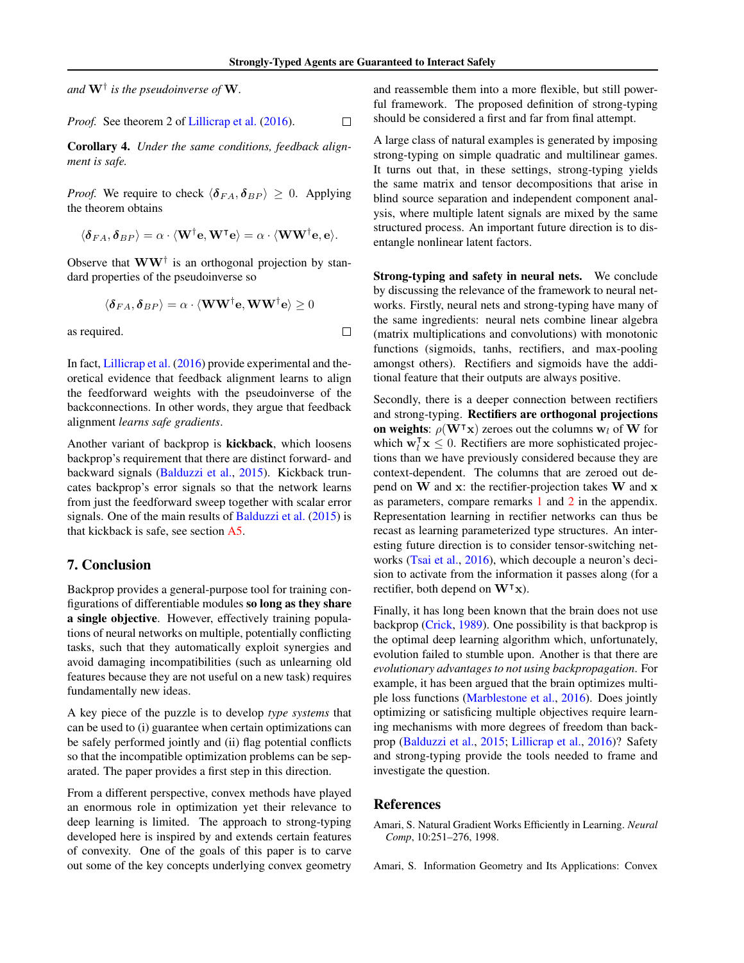$\Box$ 

*and* W† *is the pseudoinverse of* W*.*

*Proof.* See theorem 2 of Lillicrap et al. (2016).  $\Box$ 

Corollary 4. *Under the same conditions, feedback alignment is safe.*

*Proof.* We require to check  $\langle \delta_{FA}, \delta_{BP} \rangle \geq 0$ . Applying the theorem obtains

$$
\langle \boldsymbol{\delta}_{FA}, \boldsymbol{\delta}_{BP} \rangle = \alpha \cdot \langle \mathbf{W}^{\dagger} \mathbf{e}, \mathbf{W}^{\mathsf{T}} \mathbf{e} \rangle = \alpha \cdot \langle \mathbf{W} \mathbf{W}^{\dagger} \mathbf{e}, \mathbf{e} \rangle.
$$

Observe that  $WW^{\dagger}$  is an orthogonal projection by standard properties of the pseudoinverse so

$$
\langle \boldsymbol{\delta}_{FA}, \boldsymbol{\delta}_{BP} \rangle = \alpha \cdot \langle \mathbf{WW}^{\dagger} \mathbf{e}, \mathbf{WW}^{\dagger} \mathbf{e} \rangle \ge 0
$$

as required.

In fact, Lillicrap et al. (2016) provide experimental and theoretical evidence that feedback alignment learns to align the feedforward weights with the pseudoinverse of the backconnections. In other words, they argue that feedback alignment *learns safe gradients*.

Another variant of backprop is kickback, which loosens backprop's requirement that there are distinct forward- and backward signals (Balduzzi et al., 2015). Kickback truncates backprop's error signals so that the network learns from just the feedforward sweep together with scalar error signals. One of the main results of Balduzzi et al. (2015) is that kickback is safe, see section A5.

## 7. Conclusion

Backprop provides a general-purpose tool for training configurations of differentiable modules so long as they share a single objective. However, effectively training populations of neural networks on multiple, potentially conflicting tasks, such that they automatically exploit synergies and avoid damaging incompatibilities (such as unlearning old features because they are not useful on a new task) requires fundamentally new ideas.

A key piece of the puzzle is to develop *type systems* that can be used to (i) guarantee when certain optimizations can be safely performed jointly and (ii) flag potential conflicts so that the incompatible optimization problems can be separated. The paper provides a first step in this direction.

From a different perspective, convex methods have played an enormous role in optimization yet their relevance to deep learning is limited. The approach to strong-typing developed here is inspired by and extends certain features of convexity. One of the goals of this paper is to carve out some of the key concepts underlying convex geometry

and reassemble them into a more flexible, but still powerful framework. The proposed definition of strong-typing should be considered a first and far from final attempt.

A large class of natural examples is generated by imposing strong-typing on simple quadratic and multilinear games. It turns out that, in these settings, strong-typing yields the same matrix and tensor decompositions that arise in blind source separation and independent component analysis, where multiple latent signals are mixed by the same structured process. An important future direction is to disentangle nonlinear latent factors.

Strong-typing and safety in neural nets. We conclude by discussing the relevance of the framework to neural networks. Firstly, neural nets and strong-typing have many of the same ingredients: neural nets combine linear algebra (matrix multiplications and convolutions) with monotonic functions (sigmoids, tanhs, rectifiers, and max-pooling amongst others). Rectifiers and sigmoids have the additional feature that their outputs are always positive.

Secondly, there is a deeper connection between rectifiers and strong-typing. Rectifiers are orthogonal projections on weights:  $\rho(\mathbf{W}^\intercal \mathbf{x})$  zeroes out the columns w<sub>l</sub> of W for which  $\mathbf{w}_l^{\mathsf{T}} \mathbf{x} \leq 0$ . Rectifiers are more sophisticated projections than we have previously considered because they are context-dependent. The columns that are zeroed out depend on W and x: the rectifier-projection takes W and x as parameters, compare remarks 1 and 2 in the appendix. Representation learning in rectifier networks can thus be recast as learning parameterized type structures. An interesting future direction is to consider tensor-switching networks (Tsai et al., 2016), which decouple a neuron's decision to activate from the information it passes along (for a rectifier, both depend on  $W<sup>T</sup>x$ ).

Finally, it has long been known that the brain does not use backprop (Crick, 1989). One possibility is that backprop is the optimal deep learning algorithm which, unfortunately, evolution failed to stumble upon. Another is that there are *evolutionary advantages to not using backpropagation*. For example, it has been argued that the brain optimizes multiple loss functions (Marblestone et al., 2016). Does jointly optimizing or satisficing multiple objectives require learning mechanisms with more degrees of freedom than backprop (Balduzzi et al., 2015; Lillicrap et al., 2016)? Safety and strong-typing provide the tools needed to frame and investigate the question.

#### **References**

Amari, S. Natural Gradient Works Efficiently in Learning. *Neural Comp*, 10:251–276, 1998.

Amari, S. Information Geometry and Its Applications: Convex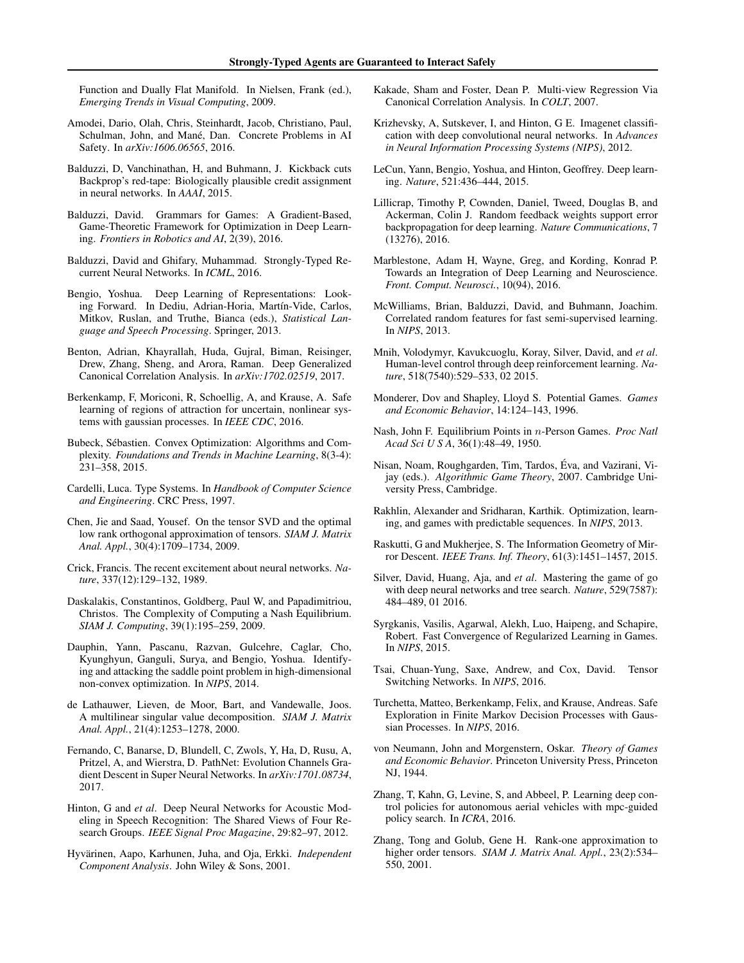Function and Dually Flat Manifold. In Nielsen, Frank (ed.), *Emerging Trends in Visual Computing*, 2009.

- Amodei, Dario, Olah, Chris, Steinhardt, Jacob, Christiano, Paul, Schulman, John, and Mané, Dan. Concrete Problems in AI Safety. In *arXiv:1606.06565*, 2016.
- Balduzzi, D, Vanchinathan, H, and Buhmann, J. Kickback cuts Backprop's red-tape: Biologically plausible credit assignment in neural networks. In *AAAI*, 2015.
- Balduzzi, David. Grammars for Games: A Gradient-Based, Game-Theoretic Framework for Optimization in Deep Learning. *Frontiers in Robotics and AI*, 2(39), 2016.
- Balduzzi, David and Ghifary, Muhammad. Strongly-Typed Recurrent Neural Networks. In *ICML*, 2016.
- Bengio, Yoshua. Deep Learning of Representations: Looking Forward. In Dediu, Adrian-Horia, Martín-Vide, Carlos, Mitkov, Ruslan, and Truthe, Bianca (eds.), *Statistical Language and Speech Processing*. Springer, 2013.
- Benton, Adrian, Khayrallah, Huda, Gujral, Biman, Reisinger, Drew, Zhang, Sheng, and Arora, Raman. Deep Generalized Canonical Correlation Analysis. In *arXiv:1702.02519*, 2017.
- Berkenkamp, F, Moriconi, R, Schoellig, A, and Krause, A. Safe learning of regions of attraction for uncertain, nonlinear systems with gaussian processes. In *IEEE CDC*, 2016.
- Bubeck, Sébastien. Convex Optimization: Algorithms and Complexity. *Foundations and Trends in Machine Learning*, 8(3-4): 231–358, 2015.
- Cardelli, Luca. Type Systems. In *Handbook of Computer Science and Engineering*. CRC Press, 1997.
- Chen, Jie and Saad, Yousef. On the tensor SVD and the optimal low rank orthogonal approximation of tensors. *SIAM J. Matrix Anal. Appl.*, 30(4):1709–1734, 2009.
- Crick, Francis. The recent excitement about neural networks. *Nature*, 337(12):129–132, 1989.
- Daskalakis, Constantinos, Goldberg, Paul W, and Papadimitriou, Christos. The Complexity of Computing a Nash Equilibrium. *SIAM J. Computing*, 39(1):195–259, 2009.
- Dauphin, Yann, Pascanu, Razvan, Gulcehre, Caglar, Cho, Kyunghyun, Ganguli, Surya, and Bengio, Yoshua. Identifying and attacking the saddle point problem in high-dimensional non-convex optimization. In *NIPS*, 2014.
- de Lathauwer, Lieven, de Moor, Bart, and Vandewalle, Joos. A multilinear singular value decomposition. *SIAM J. Matrix Anal. Appl.*, 21(4):1253–1278, 2000.
- Fernando, C, Banarse, D, Blundell, C, Zwols, Y, Ha, D, Rusu, A, Pritzel, A, and Wierstra, D. PathNet: Evolution Channels Gradient Descent in Super Neural Networks. In *arXiv:1701.08734*, 2017.
- Hinton, G and *et al*. Deep Neural Networks for Acoustic Modeling in Speech Recognition: The Shared Views of Four Research Groups. *IEEE Signal Proc Magazine*, 29:82–97, 2012.
- Hyvärinen, Aapo, Karhunen, Juha, and Oja, Erkki. *Independent Component Analysis*. John Wiley & Sons, 2001.
- Kakade, Sham and Foster, Dean P. Multi-view Regression Via Canonical Correlation Analysis. In *COLT*, 2007.
- Krizhevsky, A, Sutskever, I, and Hinton, G E. Imagenet classification with deep convolutional neural networks. In *Advances in Neural Information Processing Systems (NIPS)*, 2012.
- LeCun, Yann, Bengio, Yoshua, and Hinton, Geoffrey. Deep learning. *Nature*, 521:436–444, 2015.
- Lillicrap, Timothy P, Cownden, Daniel, Tweed, Douglas B, and Ackerman, Colin J. Random feedback weights support error backpropagation for deep learning. *Nature Communications*, 7 (13276), 2016.
- Marblestone, Adam H, Wayne, Greg, and Kording, Konrad P. Towards an Integration of Deep Learning and Neuroscience. *Front. Comput. Neurosci.*, 10(94), 2016.
- McWilliams, Brian, Balduzzi, David, and Buhmann, Joachim. Correlated random features for fast semi-supervised learning. In *NIPS*, 2013.
- Mnih, Volodymyr, Kavukcuoglu, Koray, Silver, David, and *et al*. Human-level control through deep reinforcement learning. *Nature*, 518(7540):529–533, 02 2015.
- Monderer, Dov and Shapley, Lloyd S. Potential Games. *Games and Economic Behavior*, 14:124–143, 1996.
- Nash, John F. Equilibrium Points in n-Person Games. *Proc Natl Acad Sci U S A*, 36(1):48–49, 1950.
- Nisan, Noam, Roughgarden, Tim, Tardos, Eva, and Vazirani, Vi- ´ jay (eds.). *Algorithmic Game Theory*, 2007. Cambridge University Press, Cambridge.
- Rakhlin, Alexander and Sridharan, Karthik. Optimization, learning, and games with predictable sequences. In *NIPS*, 2013.
- Raskutti, G and Mukherjee, S. The Information Geometry of Mirror Descent. *IEEE Trans. Inf. Theory*, 61(3):1451–1457, 2015.
- Silver, David, Huang, Aja, and *et al*. Mastering the game of go with deep neural networks and tree search. *Nature*, 529(7587): 484–489, 01 2016.
- Syrgkanis, Vasilis, Agarwal, Alekh, Luo, Haipeng, and Schapire, Robert. Fast Convergence of Regularized Learning in Games. In *NIPS*, 2015.
- Tsai, Chuan-Yung, Saxe, Andrew, and Cox, David. Tensor Switching Networks. In *NIPS*, 2016.
- Turchetta, Matteo, Berkenkamp, Felix, and Krause, Andreas. Safe Exploration in Finite Markov Decision Processes with Gaussian Processes. In *NIPS*, 2016.
- von Neumann, John and Morgenstern, Oskar. *Theory of Games and Economic Behavior*. Princeton University Press, Princeton NJ, 1944.
- Zhang, T, Kahn, G, Levine, S, and Abbeel, P. Learning deep control policies for autonomous aerial vehicles with mpc-guided policy search. In *ICRA*, 2016.
- Zhang, Tong and Golub, Gene H. Rank-one approximation to higher order tensors. *SIAM J. Matrix Anal. Appl.*, 23(2):534– 550, 2001.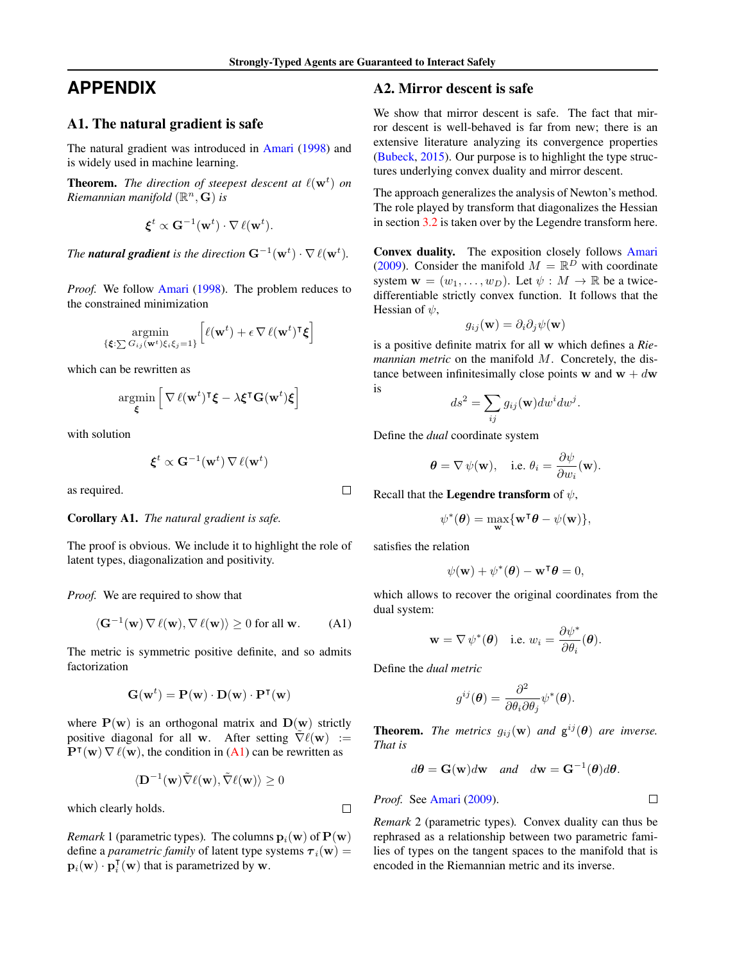# **APPENDIX**

## A1. The natural gradient is safe

The natural gradient was introduced in Amari (1998) and is widely used in machine learning.

**Theorem.** The direction of steepest descent at  $\ell(\mathbf{w}^t)$  on *Riemannian manifold* (R <sup>n</sup>, G) *is*

$$
\boldsymbol{\xi}^t \propto \mathbf{G}^{-1}(\mathbf{w}^t) \cdot \nabla \,\ell(\mathbf{w}^t).
$$

*The natural gradient is the direction*  $G^{-1}(\mathbf{w}^t) \cdot \nabla \ell(\mathbf{w}^t)$ .

*Proof.* We follow Amari (1998). The problem reduces to the constrained minimization

$$
\underset{\{\boldsymbol{\xi}:\sum G_{ij}(\mathbf{w}^t)\xi_i\xi_j=1\}}{\operatorname{argmin}}\left[\ell(\mathbf{w}^t)+\epsilon\,\nabla\,\ell(\mathbf{w}^t)^{\intercal}\boldsymbol{\xi}\right]
$$

which can be rewritten as

$$
\underset{\boldsymbol{\xi}}{\operatorname{argmin}}\left[\,\nabla\,\ell(\mathbf{w}^t)^\intercal\boldsymbol{\xi}-\lambda\boldsymbol{\xi}^\intercal\mathbf{G}(\mathbf{w}^t)\boldsymbol{\xi}\right]
$$

with solution

$$
\boldsymbol{\xi}^t \propto \mathbf{G}^{-1}(\mathbf{w}^t) \, \nabla \, \ell(\mathbf{w}^t)
$$

as required.

#### Corollary A1. *The natural gradient is safe.*

The proof is obvious. We include it to highlight the role of latent types, diagonalization and positivity.

*Proof.* We are required to show that

$$
\langle \mathbf{G}^{-1}(\mathbf{w}) \nabla \ell(\mathbf{w}), \nabla \ell(\mathbf{w}) \rangle \ge 0 \text{ for all } \mathbf{w}.
$$
 (A1)

The metric is symmetric positive definite, and so admits factorization

$$
\mathbf{G}(\mathbf{w}^t) = \mathbf{P}(\mathbf{w}) \cdot \mathbf{D}(\mathbf{w}) \cdot \mathbf{P}^\intercal(\mathbf{w})
$$

where  $P(w)$  is an orthogonal matrix and  $D(w)$  strictly positive diagonal for all w. After setting  $\nabla \ell(\mathbf{w}) :=$  $\mathbf{P}^{\mathsf{T}}(\mathbf{w}) \nabla \ell(\mathbf{w})$ , the condition in (A1) can be rewritten as

$$
\langle \mathbf{D}^{-1}(\mathbf{w}) \tilde{\nabla} \ell(\mathbf{w}), \tilde{\nabla} \ell(\mathbf{w}) \rangle \ge 0
$$

which clearly holds.

*Remark* 1 (parametric types). The columns  $\mathbf{p}_i(\mathbf{w})$  of  $\mathbf{P}(\mathbf{w})$ define a *parametric family* of latent type systems  $\tau_i(\mathbf{w}) =$  $\mathbf{p}_i(\mathbf{w}) \cdot \mathbf{p}_i^{\mathsf{T}}(\mathbf{w})$  that is parametrized by w.

## A2. Mirror descent is safe

We show that mirror descent is safe. The fact that mirror descent is well-behaved is far from new; there is an extensive literature analyzing its convergence properties (Bubeck, 2015). Our purpose is to highlight the type structures underlying convex duality and mirror descent.

The approach generalizes the analysis of Newton's method. The role played by transform that diagonalizes the Hessian in section 3.2 is taken over by the Legendre transform here.

Convex duality. The exposition closely follows Amari (2009). Consider the manifold  $M = \mathbb{R}^D$  with coordinate system  $\mathbf{w} = (w_1, \dots, w_D)$ . Let  $\psi : M \to \mathbb{R}$  be a twicedifferentiable strictly convex function. It follows that the Hessian of  $\psi$ ,

$$
g_{ij}(\mathbf{w}) = \partial_i \partial_j \psi(\mathbf{w})
$$

is a positive definite matrix for all w which defines a *Riemannian metric* on the manifold M. Concretely, the distance between infinitesimally close points w and  $w + dw$ is

$$
ds^2 = \sum_{ij} g_{ij}(\mathbf{w}) dw^i dw^j.
$$

Define the *dual* coordinate system

$$
\boldsymbol{\theta} = \nabla \psi(\mathbf{w}), \text{ i.e. } \theta_i = \frac{\partial \psi}{\partial w_i}(\mathbf{w}).
$$

Recall that the **Legendre transform** of  $\psi$ ,

$$
\psi^*(\pmb{\theta}) = \max_{\mathbf{w}} \{\mathbf{w}^\intercal \pmb{\theta} - \psi(\mathbf{w})\},
$$

satisfies the relation

$$
\psi(\mathbf{w}) + \psi^*(\boldsymbol{\theta}) - \mathbf{w}^\mathsf{T} \boldsymbol{\theta} = 0,
$$

which allows to recover the original coordinates from the dual system:

$$
\mathbf{w} = \nabla \psi^*(\boldsymbol{\theta}) \quad \text{i.e. } w_i = \frac{\partial \psi^*}{\partial \theta_i}(\boldsymbol{\theta}).
$$

Define the *dual metric*

$$
g^{ij}(\boldsymbol{\theta}) = \frac{\partial^2}{\partial \theta_i \partial \theta_j} \psi^*(\boldsymbol{\theta}).
$$

**Theorem.** *The metrics*  $g_{ij}(\mathbf{w})$  *and*  $\mathbf{g}^{ij}(\boldsymbol{\theta})$  *are inverse. That is*

$$
d\theta = G(w)dw
$$
 and  $dw = G^{-1}(\theta)d\theta$ .

*Proof.* See Amari (2009).

*Remark* 2 (parametric types)*.* Convex duality can thus be rephrased as a relationship between two parametric families of types on the tangent spaces to the manifold that is encoded in the Riemannian metric and its inverse.

 $\Box$ 

 $\Box$ 

 $\Box$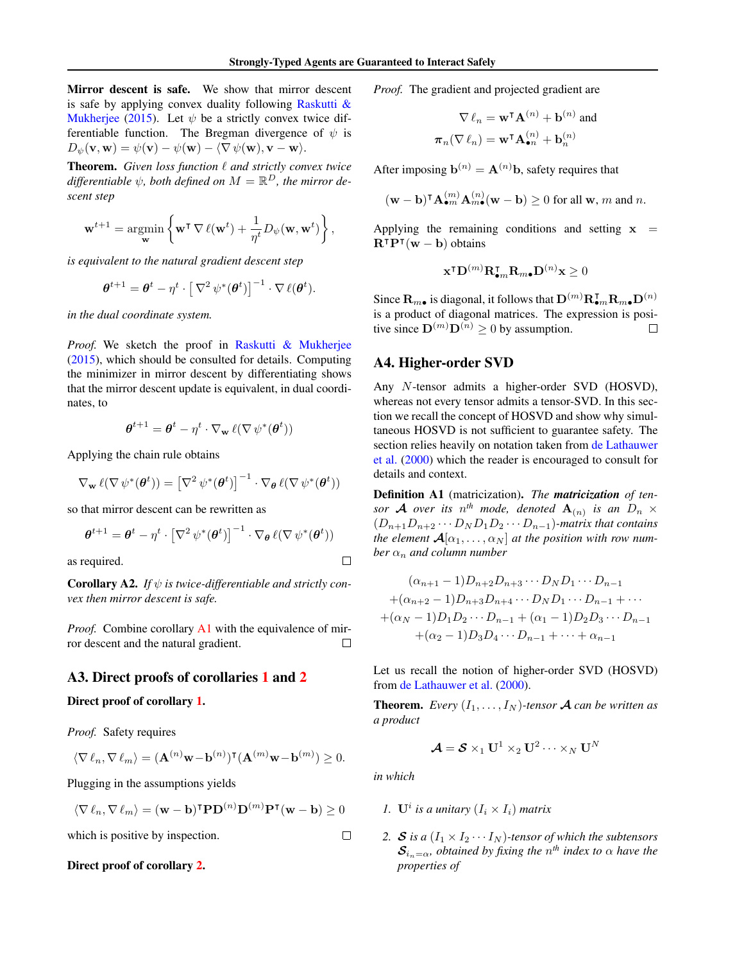Mirror descent is safe. We show that mirror descent is safe by applying convex duality following Raskutti  $\&$ Mukherjee (2015). Let  $\psi$  be a strictly convex twice differentiable function. The Bregman divergence of  $\psi$  is  $D_{\psi}(\mathbf{v}, \mathbf{w}) = \psi(\mathbf{v}) - \psi(\mathbf{w}) - \langle \nabla \psi(\mathbf{w}), \mathbf{v} - \mathbf{w} \rangle.$ 

Theorem. Given loss function  $\ell$  and strictly convex twice  $\partial f$  *differentiable*  $\psi$ *, both defined on*  $M = \mathbb{R}^D$ *, the mirror descent step*

$$
\mathbf{w}^{t+1} = \operatorname*{argmin}_{\mathbf{w}} \left\{ \mathbf{w}^{\mathsf{T}} \nabla \ell(\mathbf{w}^t) + \frac{1}{\eta^t} D_{\psi}(\mathbf{w}, \mathbf{w}^t) \right\},\,
$$

*is equivalent to the natural gradient descent step*

$$
\boldsymbol{\theta}^{t+1} = \boldsymbol{\theta}^t - \eta^t \cdot \left[\nabla^2 \psi^*(\boldsymbol{\theta}^t)\right]^{-1} \cdot \nabla \ell(\boldsymbol{\theta}^t).
$$

*in the dual coordinate system.*

*Proof.* We sketch the proof in Raskutti & Mukherjee (2015), which should be consulted for details. Computing the minimizer in mirror descent by differentiating shows that the mirror descent update is equivalent, in dual coordinates, to

$$
\boldsymbol{\theta}^{t+1} = \boldsymbol{\theta}^t - \eta^t \cdot \nabla_{\mathbf{w}} \ell(\nabla \psi^*(\boldsymbol{\theta}^t))
$$

Applying the chain rule obtains

$$
\nabla_{\mathbf{w}} \ell(\nabla \psi^*(\boldsymbol{\theta}^t)) = \left[\nabla^2 \psi^*(\boldsymbol{\theta}^t)\right]^{-1} \cdot \nabla_{\boldsymbol{\theta}} \ell(\nabla \psi^*(\boldsymbol{\theta}^t))
$$

so that mirror descent can be rewritten as

$$
\boldsymbol{\theta}^{t+1} = \boldsymbol{\theta}^t - \eta^t \cdot \left[\nabla^2 \psi^*(\boldsymbol{\theta}^t)\right]^{-1} \cdot \nabla_{\boldsymbol{\theta}} \ell(\nabla \psi^*(\boldsymbol{\theta}^t))
$$

as required.

**Corollary A2.** If  $\psi$  is twice-differentiable and strictly con*vex then mirror descent is safe.*

*Proof.* Combine corollary A1 with the equivalence of mirror descent and the natural gradient.  $\Box$ 

## A3. Direct proofs of corollaries 1 and 2

#### Direct proof of corollary 1.

*Proof.* Safety requires

$$
\langle \nabla \,\ell_n, \nabla \,\ell_m \rangle = (\mathbf{A}^{(n)}\mathbf{w} - \mathbf{b}^{(n)})^{\intercal} (\mathbf{A}^{(m)}\mathbf{w} - \mathbf{b}^{(m)}) \ge 0.
$$

Plugging in the assumptions yields

$$
\langle \nabla \ell_n, \nabla \ell_m \rangle = (\mathbf{w} - \mathbf{b})^{\mathsf{T}} \mathbf{P} \mathbf{D}^{(n)} \mathbf{D}^{(m)} \mathbf{P}^{\mathsf{T}} (\mathbf{w} - \mathbf{b}) \ge 0
$$

which is positive by inspection.

#### Direct proof of corollary 2.

*Proof.* The gradient and projected gradient are

$$
\nabla \ell_n = \mathbf{w}^{\mathsf{T}} \mathbf{A}^{(n)} + \mathbf{b}^{(n)}
$$
 and  

$$
\boldsymbol{\pi}_n(\nabla \ell_n) = \mathbf{w}^{\mathsf{T}} \mathbf{A}_{\bullet n}^{(n)} + \mathbf{b}_n^{(n)}
$$

After imposing  $\mathbf{b}^{(n)} = \mathbf{A}^{(n)}\mathbf{b}$ , safety requires that

$$
(\mathbf{w} - \mathbf{b})^{\mathsf{T}} \mathbf{A}_{\bullet m}^{(m)} \mathbf{A}_{m\bullet}^{(n)}(\mathbf{w} - \mathbf{b}) \ge 0
$$
 for all  $\mathbf{w}, m$  and n.

Applying the remaining conditions and setting  $x =$  $\mathbf{R}^\intercal \mathbf{P}^\intercal(\mathbf{w} - \mathbf{b})$  obtains

$$
\mathbf{x}^{\mathsf{T}} \mathbf{D}^{(m)} \mathbf{R}_{\bullet m}^{\mathsf{T}} \mathbf{R}_{m \bullet} \mathbf{D}^{(n)} \mathbf{x} \ge 0
$$

Since  $\mathbf{R}_{m\bullet}$  is diagonal, it follows that  $\mathbf{D}^{(m)}\mathbf{R}_{\bullet m}^{\intercal}\mathbf{R}_{m\bullet}\mathbf{D}^{(n)}$ is a product of diagonal matrices. The expression is positive since  $\mathbf{D}^{(m)}\mathbf{D}^{(n)} > 0$  by assumption.  $\Box$ 

## A4. Higher-order SVD

Any N-tensor admits a higher-order SVD (HOSVD), whereas not every tensor admits a tensor-SVD. In this section we recall the concept of HOSVD and show why simultaneous HOSVD is not sufficient to guarantee safety. The section relies heavily on notation taken from de Lathauwer et al. (2000) which the reader is encouraged to consult for details and context.

Definition A1 (matricization). *The matricization of tensor* **A** *over its*  $n^{th}$  *mode, denoted*  $\mathbf{A}_{(n)}$  *is an*  $D_n \times$  $(D_{n+1}D_{n+2}\cdots D_ND_1D_2\cdots D_{n-1})$ -matrix that contains *the element*  $\mathcal{A}[\alpha_1,\ldots,\alpha_N]$  *at the position with row number*  $\alpha_n$  *and column number* 

$$
(\alpha_{n+1}-1)D_{n+2}D_{n+3}\cdots D_ND_1\cdots D_{n-1}
$$
  
+ $(\alpha_{n+2}-1)D_{n+3}D_{n+4}\cdots D_ND_1\cdots D_{n-1}+\cdots$   
+ $(\alpha_N-1)D_1D_2\cdots D_{n-1}+(\alpha_1-1)D_2D_3\cdots D_{n-1}$   
+ $(\alpha_2-1)D_3D_4\cdots D_{n-1}+\cdots+\alpha_{n-1}$ 

Let us recall the notion of higher-order SVD (HOSVD) from de Lathauwer et al. (2000).

**Theorem.** *Every*  $(I_1, \ldots, I_N)$ *-tensor* **A** *can be written as a product*

$$
\mathbf{A} = \mathbf{S} \times_1 \mathbf{U}^1 \times_2 \mathbf{U}^2 \cdots \times_N \mathbf{U}^N
$$

*in which*

 $\Box$ 

 $\Box$ 

- *1.*  $\mathbf{U}^i$  is a unitary  $(I_i \times I_i)$  matrix
- *2. S is a*  $(I_1 \times I_2 \cdots I_N)$ *-tensor of which the subtensors*  $\mathcal{S}_{i_n=\alpha}$ , obtained by fixing the  $n^{th}$  index to  $\alpha$  have the *properties of*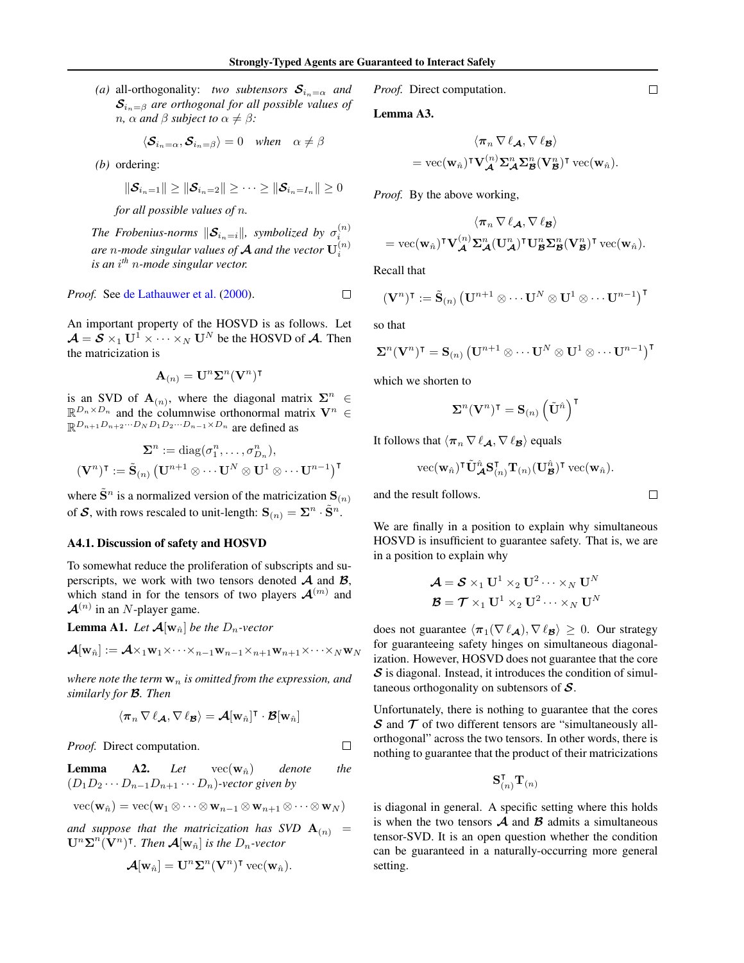*(a)* all-orthogonality: *two subtensors*  $S_{i_n=\alpha}$  *and*  $S_{i_n=\beta}$  are orthogonal for all possible values of *n*,  $\alpha$  *and*  $\beta$  *subject to*  $\alpha \neq \beta$ *:* 

$$
\langle \mathcal{S}_{i_n=\alpha}, \mathcal{S}_{i_n=\beta} \rangle = 0 \quad when \quad \alpha \neq \beta
$$

*(b)* ordering:

$$
\|\boldsymbol{\mathcal{S}}_{i_n=1}\| \geq \|\boldsymbol{\mathcal{S}}_{i_n=2}\| \geq \cdots \geq \|\boldsymbol{\mathcal{S}}_{i_n=I_n}\| \geq 0
$$

*for all possible values of* n*.*

*The Frobenius-norms*  $\|\mathcal{S}_{i_n=i}\|$ , symbolized by  $\sigma_i^{(n)}$ are *n*-mode singular values of  $A$  and the vector  $\mathbf{U}_i^{(n)}$ *is an* i *th* n*-mode singular vector.*

#### *Proof.* See de Lathauwer et al. (2000).

An important property of the HOSVD is as follows. Let  $\mathcal{A} = \mathcal{S} \times_1 \mathbf{U}^1 \times \cdots \times_N \mathbf{U}^N$  be the HOSVD of  $\mathcal{A}$ . Then the matricization is

$$
\mathbf{A}_{(n)} = \mathbf{U}^n \mathbf{\Sigma}^n (\mathbf{V}^n)^{\intercal}
$$

is an SVD of  $\mathbf{A}_{(n)}$ , where the diagonal matrix  $\sum_{n=0}^{\infty}$  $\mathbb{R}^{D_n \times D_n}$  and the columnwise orthonormal matrix  $\mathbf{V}^n \in \mathbb{R}^{D_n \times D_n}$  $\mathbb{R}^{D_{n+1}D_{n+2}\cdots D_N D_1 D_2\cdots D_{n-1}\times D_n}$  are defined as

$$
\mathbf{\Sigma}^n := \text{diag}(\sigma_1^n, \dots, \sigma_{D_n}^n),
$$
  

$$
(\mathbf{V}^n)^{\intercal} := \tilde{\mathbf{S}}_{(n)} (\mathbf{U}^{n+1} \otimes \cdots \mathbf{U}^N \otimes \mathbf{U}^1 \otimes \cdots \mathbf{U}^{n-1})^{\intercal}
$$

where  $\tilde{\mathbf{S}}^n$  is a normalized version of the matricization  $\mathbf{S}_{(n)}$ of  $\mathcal{S}$ , with rows rescaled to unit-length:  $\mathbf{S}_{(n)} = \boldsymbol{\Sigma}^n \cdot \tilde{\mathbf{S}}^n$ .

#### A4.1. Discussion of safety and HOSVD

To somewhat reduce the proliferation of subscripts and superscripts, we work with two tensors denoted  $A$  and  $B$ , which stand in for the tensors of two players  $\mathcal{A}^{(m)}$  and  $\mathcal{A}^{(n)}$  in an N-player game.

**Lemma A1.** Let  $\mathcal{A}[\mathbf{w}_{\hat{n}}]$  be the  $D_n$ -vector

$$
\mathcal{A}[\mathbf{w}_{\hat{n}}] := \mathcal{A} \times_1 \mathbf{w}_1 \times \cdots \times_{n-1} \mathbf{w}_{n-1} \times_{n+1} \mathbf{w}_{n+1} \times \cdots \times_N \mathbf{w}_N
$$

*where note the term*  $w_n$  *is omitted from the expression, and similarly for* B*. Then*

$$
\langle \pi_n \, \nabla \, \ell_{\mathcal{A}}, \nabla \, \ell_{\mathcal{B}} \rangle = \mathcal{A}[w_{\hat{n}}]^{\intercal} \cdot \mathcal{B}[w_{\hat{n}}]
$$

*Proof.* Direct computation.

**Lemma** A2. Let  $vec(\mathbf{w}_{\hat{n}})$  denote the  $(D_1D_2\cdots D_{n-1}D_{n+1}\cdots D_n)$ -vector given by

$$
\text{vec}(\mathbf{w}_{\hat{n}}) = \text{vec}(\mathbf{w}_1 \otimes \cdots \otimes \mathbf{w}_{n-1} \otimes \mathbf{w}_{n+1} \otimes \cdots \otimes \mathbf{w}_N)
$$

and suppose that the matricization has SVD  $A_{(n)} =$  $\mathbf{U}^n \Sigma^n (\mathbf{V}^n)^\intercal$ . Then  $\mathcal{A}[\mathbf{w}_{\hat{n}}]$  is the  $D_n$ -vector

$$
\mathcal{A}[\mathbf{w}_{\hat{n}}] = \mathbf{U}^n \mathbf{\Sigma}^n (\mathbf{V}^n)^{\intercal} \text{ vec}(\mathbf{w}_{\hat{n}}).
$$

*Proof.* Direct computation.

Lemma A3.

$$
\langle \pi_n \nabla \ell_{\mathcal{A}}, \nabla \ell_{\mathcal{B}} \rangle
$$
  
= vec( $\mathbf{w}_{\hat{n}}$ )<sup>T</sup> $\mathbf{V}_{\mathcal{A}}^{(n)} \Sigma_{\mathcal{A}}^n \Sigma_{\mathcal{B}}^n (\mathbf{V}_{\mathcal{B}}^n)^{\mathsf{T}}$  vec( $\mathbf{w}_{\hat{n}}$ ).

*Proof.* By the above working,

$$
\langle \pi_n \nabla \ell_{\mathcal{A}}, \nabla \ell_{\mathcal{B}} \rangle
$$
  
= vec( $\mathbf{w}_{\hat{n}}$ )<sup>T</sup> $\mathbf{V}_{\mathcal{A}}^{(n)} \Sigma_{\mathcal{A}}^n (\mathbf{U}_{\mathcal{A}}^n)^{\mathsf{T}} \mathbf{U}_{\mathcal{B}}^n \Sigma_{\mathcal{B}}^n (\mathbf{V}_{\mathcal{B}}^n)^{\mathsf{T}}$ vec( $\mathbf{w}_{\hat{n}}$ ).

Recall that

$$
(\mathbf{V}^n)^\intercal := \widetilde{\mathbf{S}}_{(n)} \left( \mathbf{U}^{n+1} \otimes \cdots \mathbf{U}^N \otimes \mathbf{U}^1 \otimes \cdots \mathbf{U}^{n-1} \right)^\intercal
$$

so that

 $\Box$ 

 $\Box$ 

$$
\boldsymbol{\Sigma}^n(\mathbf{V}^n)^\intercal = \mathbf{S}_{(n)}\left(\mathbf{U}^{n+1} \otimes \cdots \mathbf{U}^N \otimes \mathbf{U}^1 \otimes \cdots \mathbf{U}^{n-1}\right)^\intercal
$$

which we shorten to

$$
\boldsymbol{\Sigma}^n(\mathbf{V}^n)^\intercal = \mathbf{S}_{(n)}\left(\tilde{\mathbf{U}}^{\hat{n}}\right)^\intercal
$$

It follows that  $\langle \pi_n \nabla \ell_A, \nabla \ell_B \rangle$  equals

$$
\text{vec}(\mathbf{w}_{\hat{n}})^{\intercal}\tilde{\mathbf{U}}_{\mathcal{A}}^{\hat{n}}\mathbf{S}_{(n)}^{\intercal}\mathbf{T}_{(n)}(\mathbf{U}_{\mathcal{B}}^{\hat{n}})^{\intercal}\text{vec}(\mathbf{w}_{\hat{n}}).
$$

and the result follows.

We are finally in a position to explain why simultaneous HOSVD is insufficient to guarantee safety. That is, we are in a position to explain why

$$
\mathcal{A} = \mathcal{S} \times_1 \mathbf{U}^1 \times_2 \mathbf{U}^2 \cdots \times_N \mathbf{U}^N
$$

$$
\mathcal{B} = \mathcal{T} \times_1 \mathbf{U}^1 \times_2 \mathbf{U}^2 \cdots \times_N \mathbf{U}^N
$$

does not guarantee  $\langle \pi_1(\nabla \ell_A), \nabla \ell_B \rangle \geq 0$ . Our strategy for guaranteeing safety hinges on simultaneous diagonalization. However, HOSVD does not guarantee that the core  $S$  is diagonal. Instead, it introduces the condition of simultaneous orthogonality on subtensors of  $S$ .

Unfortunately, there is nothing to guarantee that the cores  $\mathcal S$  and  $\mathcal T$  of two different tensors are "simultaneously allorthogonal" across the two tensors. In other words, there is nothing to guarantee that the product of their matricizations

$$
\mathbf{S}_{(n)}^\intercal \mathbf{T}_{(n)}
$$

is diagonal in general. A specific setting where this holds is when the two tensors  $A$  and  $B$  admits a simultaneous tensor-SVD. It is an open question whether the condition can be guaranteed in a naturally-occurring more general setting.

 $\Box$ 

 $\Box$